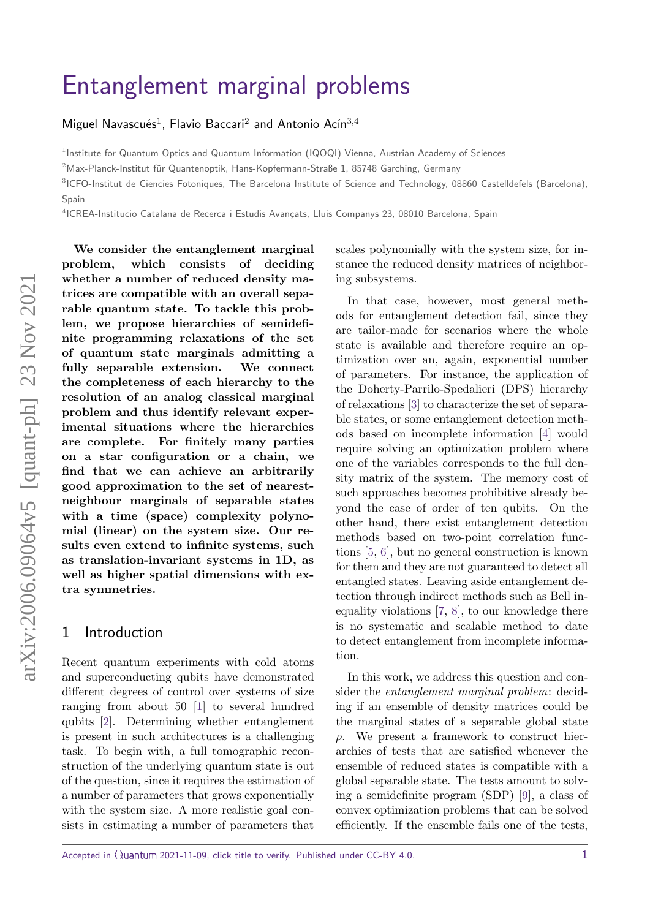# [Entanglement marginal problems](https://quantum-journal.org/?s=Entanglement%20marginal%20problems&reason=title-click)

Miguel Navascués<sup>1</sup>, Flavio Baccari<sup>2</sup> and Antonio Acín<sup>3,4</sup>

<sup>1</sup> Institute for Quantum Optics and Quantum Information (IQOQI) Vienna, Austrian Academy of Sciences

 $2$ Max-Planck-Institut für Quantenoptik, Hans-Kopfermann-Straße 1, 85748 Garching, Germany

<sup>3</sup>ICFO-Institut de Ciencies Fotoniques, The Barcelona Institute of Science and Technology, 08860 Castelldefels (Barcelona), Spain

<sup>4</sup>ICREA-Institucio Catalana de Recerca i Estudis Avançats, Lluis Companys 23, 08010 Barcelona, Spain

**We consider the entanglement marginal problem, which consists of deciding whether a number of reduced density matrices are compatible with an overall separable quantum state. To tackle this problem, we propose hierarchies of semidefinite programming relaxations of the set of quantum state marginals admitting a fully separable extension. We connect the completeness of each hierarchy to the resolution of an analog classical marginal problem and thus identify relevant experimental situations where the hierarchies are complete. For finitely many parties on a star configuration or a chain, we find that we can achieve an arbitrarily good approximation to the set of nearestneighbour marginals of separable states with a time (space) complexity polynomial (linear) on the system size. Our results even extend to infinite systems, such as translation-invariant systems in 1D, as well as higher spatial dimensions with extra symmetries.**

## 1 Introduction

Recent quantum experiments with cold atoms and superconducting qubits have demonstrated different degrees of control over systems of size ranging from about 50 [\[1\]](#page-13-0) to several hundred qubits [\[2\]](#page-13-1). Determining whether entanglement is present in such architectures is a challenging task. To begin with, a full tomographic reconstruction of the underlying quantum state is out of the question, since it requires the estimation of a number of parameters that grows exponentially with the system size. A more realistic goal consists in estimating a number of parameters that scales polynomially with the system size, for instance the reduced density matrices of neighboring subsystems.

In that case, however, most general methods for entanglement detection fail, since they are tailor-made for scenarios where the whole state is available and therefore require an optimization over an, again, exponential number of parameters. For instance, the application of the Doherty-Parrilo-Spedalieri (DPS) hierarchy of relaxations [\[3\]](#page-13-2) to characterize the set of separable states, or some entanglement detection methods based on incomplete information [\[4\]](#page-13-3) would require solving an optimization problem where one of the variables corresponds to the full density matrix of the system. The memory cost of such approaches becomes prohibitive already beyond the case of order of ten qubits. On the other hand, there exist entanglement detection methods based on two-point correlation functions [\[5,](#page-13-4) [6\]](#page-13-5), but no general construction is known for them and they are not guaranteed to detect all entangled states. Leaving aside entanglement detection through indirect methods such as Bell inequality violations [\[7,](#page-13-6) [8\]](#page-13-7), to our knowledge there is no systematic and scalable method to date to detect entanglement from incomplete information.

In this work, we address this question and consider the entanglement marginal problem: deciding if an ensemble of density matrices could be the marginal states of a separable global state *ρ*. We present a framework to construct hierarchies of tests that are satisfied whenever the ensemble of reduced states is compatible with a global separable state. The tests amount to solving a semidefinite program (SDP) [\[9\]](#page-13-8), a class of convex optimization problems that can be solved efficiently. If the ensemble fails one of the tests,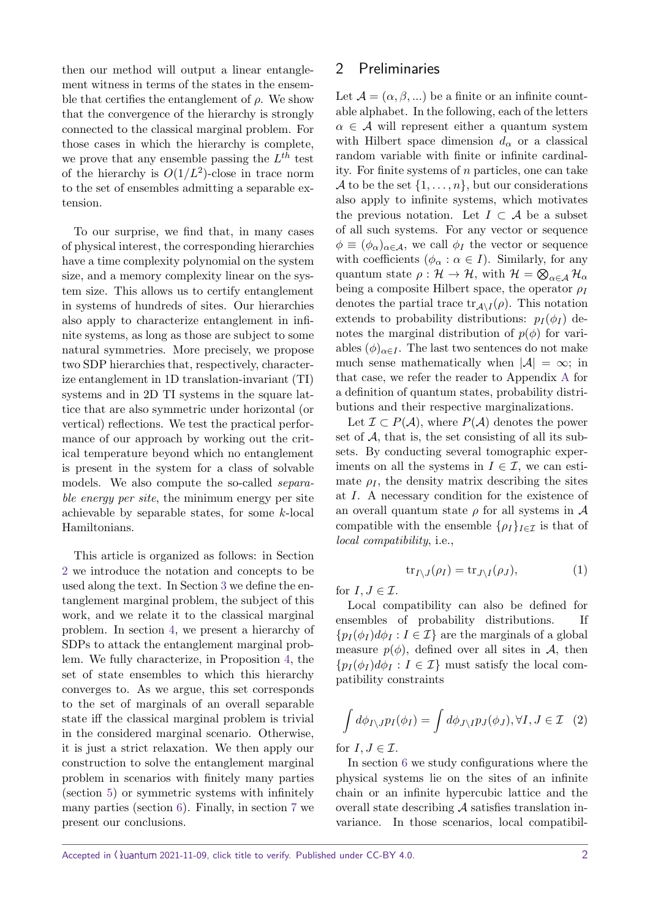then our method will output a linear entanglement witness in terms of the states in the ensemble that certifies the entanglement of  $\rho$ . We show that the convergence of the hierarchy is strongly connected to the classical marginal problem. For those cases in which the hierarchy is complete, we prove that any ensemble passing the *L th* test of the hierarchy is  $O(1/L^2)$ -close in trace norm to the set of ensembles admitting a separable extension.

To our surprise, we find that, in many cases of physical interest, the corresponding hierarchies have a time complexity polynomial on the system size, and a memory complexity linear on the system size. This allows us to certify entanglement in systems of hundreds of sites. Our hierarchies also apply to characterize entanglement in infinite systems, as long as those are subject to some natural symmetries. More precisely, we propose two SDP hierarchies that, respectively, characterize entanglement in 1D translation-invariant (TI) systems and in 2D TI systems in the square lattice that are also symmetric under horizontal (or vertical) reflections. We test the practical performance of our approach by working out the critical temperature beyond which no entanglement is present in the system for a class of solvable models. We also compute the so-called separable energy per site, the minimum energy per site achievable by separable states, for some *k*-local Hamiltonians.

This article is organized as follows: in Section [2](#page-1-0) we introduce the notation and concepts to be used along the text. In Section [3](#page-2-0) we define the entanglement marginal problem, the subject of this work, and we relate it to the classical marginal problem. In section [4,](#page-3-0) we present a hierarchy of SDPs to attack the entanglement marginal problem. We fully characterize, in Proposition [4,](#page-4-0) the set of state ensembles to which this hierarchy converges to. As we argue, this set corresponds to the set of marginals of an overall separable state iff the classical marginal problem is trivial in the considered marginal scenario. Otherwise, it is just a strict relaxation. We then apply our construction to solve the entanglement marginal problem in scenarios with finitely many parties (section [5\)](#page-5-0) or symmetric systems with infinitely many parties (section [6\)](#page-9-0). Finally, in section [7](#page-12-0) we present our conclusions.

# <span id="page-1-0"></span>2 Preliminaries

Let  $\mathcal{A} = (\alpha, \beta, ...)$  be a finite or an infinite countable alphabet. In the following, each of the letters  $\alpha \in \mathcal{A}$  will represent either a quantum system with Hilbert space dimension  $d_{\alpha}$  or a classical random variable with finite or infinite cardinality. For finite systems of *n* particles, one can take A to be the set  $\{1, \ldots, n\}$ , but our considerations also apply to infinite systems, which motivates the previous notation. Let  $I \subset A$  be a subset of all such systems. For any vector or sequence  $\phi \equiv (\phi_{\alpha})_{\alpha \in \mathcal{A}}$ , we call  $\phi_I$  the vector or sequence with coefficients ( $\phi_{\alpha} : \alpha \in I$ ). Similarly, for any quantum state  $\rho: \mathcal{H} \to \mathcal{H}$ , with  $\mathcal{H} = \bigotimes_{\alpha \in \mathcal{A}} \mathcal{H}_{\alpha}$ being a composite Hilbert space, the operator *ρ<sup>I</sup>* denotes the partial trace  $\text{tr}_{\mathcal{A}\setminus I}(\rho)$ . This notation extends to probability distributions:  $p_I(\phi_I)$  denotes the marginal distribution of  $p(\phi)$  for variables  $(\phi)_{\alpha \in I}$ . The last two sentences do not make much sense mathematically when  $|\mathcal{A}| = \infty$ ; in that case, we refer the reader to Appendix [A](#page-14-0) for a definition of quantum states, probability distributions and their respective marginalizations.

Let  $\mathcal{I} \subset P(\mathcal{A})$ , where  $P(\mathcal{A})$  denotes the power set of  $A$ , that is, the set consisting of all its subsets. By conducting several tomographic experiments on all the systems in  $I \in \mathcal{I}$ , we can estimate  $\rho_I$ , the density matrix describing the sites at *I*. A necessary condition for the existence of an overall quantum state  $\rho$  for all systems in  $\mathcal A$ compatible with the ensemble  $\{\rho_I\}_{I \in \mathcal{I}}$  is that of local compatibility, i.e.,

$$
\operatorname{tr}_{I \setminus J}(\rho_I) = \operatorname{tr}_{J \setminus I}(\rho_J),\tag{1}
$$

for  $I, J \in \mathcal{I}$ .

Local compatibility can also be defined for ensembles of probability distributions. If  ${p_I(\phi_I)d\phi_I : I \in \mathcal{I}}$  are the marginals of a global measure  $p(\phi)$ , defined over all sites in A, then  ${p_I(\phi_I)d\phi_I : I \in \mathcal{I}}$  must satisfy the local compatibility constraints

<span id="page-1-1"></span>
$$
\int d\phi_{I\setminus J} p_I(\phi_I) = \int d\phi_{J\setminus I} p_J(\phi_J), \forall I, J \in \mathcal{I} \quad (2)
$$

for  $I, J \in \mathcal{I}$ .

In section [6](#page-9-0) we study configurations where the physical systems lie on the sites of an infinite chain or an infinite hypercubic lattice and the overall state describing  $A$  satisfies translation invariance. In those scenarios, local compatibil-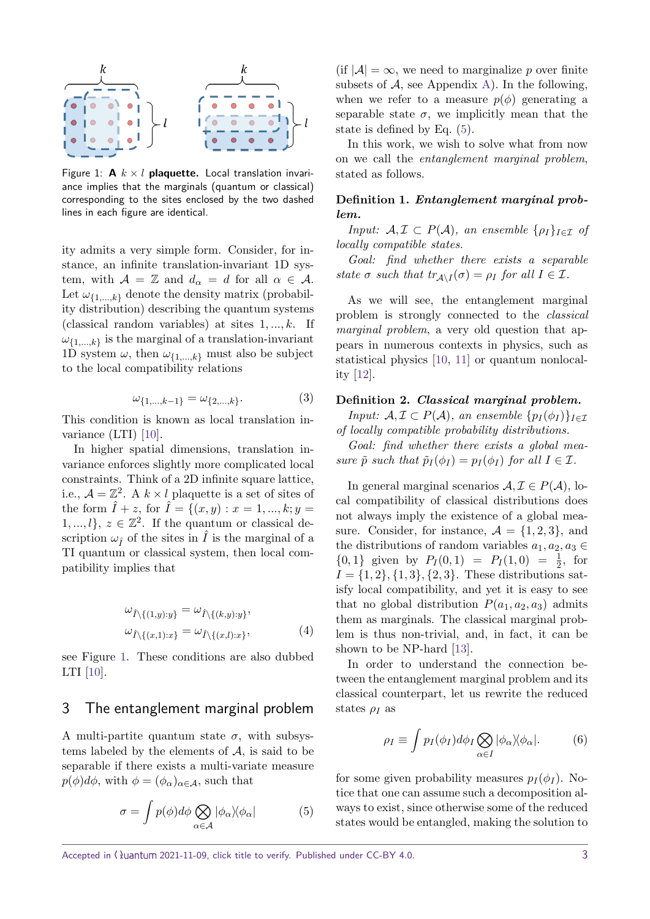<span id="page-2-1"></span>

Figure 1:  $A \times l$  plaquette. Local translation invariance implies that the marginals (quantum or classical) corresponding to the sites enclosed by the two dashed lines in each figure are identical.

ity admits a very simple form. Consider, for instance, an infinite translation-invariant 1D system, with  $A = \mathbb{Z}$  and  $d_{\alpha} = d$  for all  $\alpha \in A$ . Let  $\omega_{\{1,\ldots,k\}}$  denote the density matrix (probability distribution) describing the quantum systems (classical random variables) at sites 1*, ..., k*. If *ω*{1*,...,k*} is the marginal of a translation-invariant 1D system  $\omega$ , then  $\omega_{\{1,\dots,k\}}$  must also be subject to the local compatibility relations

$$
\omega_{\{1,\dots,k-1\}} = \omega_{\{2,\dots,k\}}.\tag{3}
$$

This condition is known as local translation invariance (LTI) [\[10\]](#page-13-9).

In higher spatial dimensions, translation invariance enforces slightly more complicated local constraints. Think of a 2D infinite square lattice, i.e.,  $\mathcal{A} = \mathbb{Z}^2$ . A  $k \times l$  plaquette is a set of sites of the form  $\hat{I} + z$ , for  $\hat{I} = \{(x, y) : x = 1, ..., k; y =$  $1, ..., l$ ,  $z \in \mathbb{Z}^2$ . If the quantum or classical description  $\omega_{\hat{r}}$  of the sites in  $\hat{I}$  is the marginal of a TI quantum or classical system, then local compatibility implies that

$$
\omega_{\hat{I}\backslash\{(1,y):y\}} = \omega_{\hat{I}\backslash\{(k,y):y\}},
$$
  

$$
\omega_{\hat{I}\backslash\{(x,1):x\}} = \omega_{\hat{I}\backslash\{(x,l):x\}},
$$
 (4)

see Figure [1.](#page-2-1) These conditions are also dubbed LTI [\[10\]](#page-13-9).

### <span id="page-2-0"></span>3 The entanglement marginal problem

<span id="page-2-2"></span>A multi-partite quantum state  $\sigma$ , with subsystems labeled by the elements of A, is said to be separable if there exists a multi-variate measure  $p(\phi)d\phi$ , with  $\phi = (\phi_\alpha)_{\alpha \in \mathcal{A}}$ , such that

$$
\sigma = \int p(\phi) d\phi \bigotimes_{\alpha \in \mathcal{A}} |\phi_{\alpha}\rangle \langle \phi_{\alpha}| \tag{5}
$$

(if  $|A| = \infty$ , we need to marginalize *p* over finite subsets of  $A$ , see Appendix [A\)](#page-14-0). In the following, when we refer to a measure  $p(\phi)$  generating a separable state  $\sigma$ , we implicitly mean that the state is defined by Eq. [\(5\)](#page-2-2).

In this work, we wish to solve what from now on we call the entanglement marginal problem, stated as follows.

## **Definition 1.** *Entanglement marginal problem.*

*Input:*  $A, \mathcal{I} \subset P(A)$ *, an ensemble*  $\{\rho_I\}_{I \in \mathcal{I}}$  *of locally compatible states.*

*Goal: find whether there exists a separable state*  $\sigma$  *such that*  $tr_{\mathcal{A}\setminus I}(\sigma) = \rho_I$  *for all*  $I \in \mathcal{I}$ *.* 

As we will see, the entanglement marginal problem is strongly connected to the classical marginal problem, a very old question that appears in numerous contexts in physics, such as statistical physics [\[10,](#page-13-9) [11\]](#page-13-10) or quantum nonlocality [\[12\]](#page-13-11).

#### **Definition 2.** *Classical marginal problem.*

*Input:*  $A, I \subset P(A)$ *, an ensemble*  $\{p_I(\phi_I)\}_{I \in \mathcal{I}}$ *of locally compatible probability distributions.*

*Goal: find whether there exists a global measure*  $\tilde{p}$  *such that*  $\tilde{p}_I(\phi_I) = p_I(\phi_I)$  *for all*  $I \in \mathcal{I}$ *.* 

In general marginal scenarios  $A, \mathcal{I} \in P(A)$ , local compatibility of classical distributions does not always imply the existence of a global measure. Consider, for instance,  $\mathcal{A} = \{1, 2, 3\}$ , and the distributions of random variables  $a_1, a_2, a_3 \in$  $\{0, 1\}$  given by  $P_I(0, 1) = P_I(1, 0) = \frac{1}{2}$ , for  $I = \{1, 2\}, \{1, 3\}, \{2, 3\}.$  These distributions satisfy local compatibility, and yet it is easy to see that no global distribution  $P(a_1, a_2, a_3)$  admits them as marginals. The classical marginal problem is thus non-trivial, and, in fact, it can be shown to be NP-hard [\[13\]](#page-13-12).

In order to understand the connection between the entanglement marginal problem and its classical counterpart, let us rewrite the reduced states *ρ<sup>I</sup>* as

<span id="page-2-3"></span>
$$
\rho_I \equiv \int p_I(\phi_I) d\phi_I \bigotimes_{\alpha \in I} |\phi_\alpha\rangle\langle \phi_\alpha|.
$$
 (6)

for some given probability measures  $p_I(\phi_I)$ . Notice that one can assume such a decomposition always to exist, since otherwise some of the reduced states would be entangled, making the solution to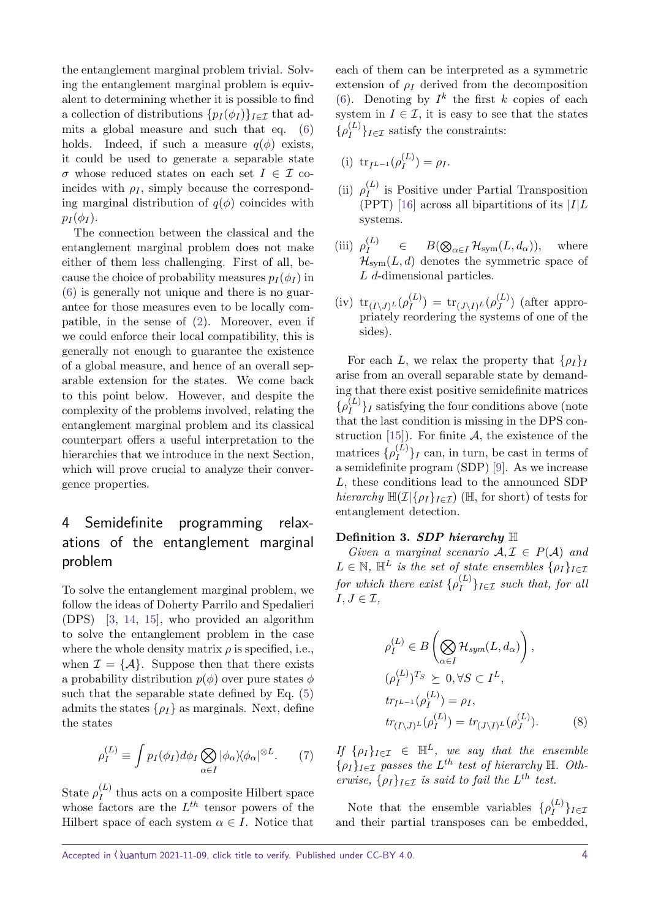the entanglement marginal problem trivial. Solving the entanglement marginal problem is equivalent to determining whether it is possible to find a collection of distributions  $\{p_I(\phi_I)\}_{I \in \mathcal{I}}$  that admits a global measure and such that eq. [\(6\)](#page-2-3) holds. Indeed, if such a measure  $q(\phi)$  exists, it could be used to generate a separable state *σ* whose reduced states on each set  $I \in \mathcal{I}$  coincides with  $\rho_I$ , simply because the corresponding marginal distribution of  $q(\phi)$  coincides with  $p_I(\phi_I)$ .

The connection between the classical and the entanglement marginal problem does not make either of them less challenging. First of all, because the choice of probability measures  $p_I(\phi_I)$  in [\(6\)](#page-2-3) is generally not unique and there is no guarantee for those measures even to be locally compatible, in the sense of [\(2\)](#page-1-1). Moreover, even if we could enforce their local compatibility, this is generally not enough to guarantee the existence of a global measure, and hence of an overall separable extension for the states. We come back to this point below. However, and despite the complexity of the problems involved, relating the entanglement marginal problem and its classical counterpart offers a useful interpretation to the hierarchies that we introduce in the next Section, which will prove crucial to analyze their convergence properties.

# <span id="page-3-0"></span>4 Semidefinite programming relaxations of the entanglement marginal problem

To solve the entanglement marginal problem, we follow the ideas of Doherty Parrilo and Spedalieri (DPS) [\[3,](#page-13-2) [14,](#page-13-13) [15\]](#page-13-14), who provided an algorithm to solve the entanglement problem in the case where the whole density matrix  $\rho$  is specified, i.e., when  $\mathcal{I} = \{A\}$ . Suppose then that there exists a probability distribution  $p(\phi)$  over pure states  $\phi$ such that the separable state defined by Eq. [\(5\)](#page-2-2) admits the states  $\{\rho_I\}$  as marginals. Next, define the states

<span id="page-3-1"></span>
$$
\rho_I^{(L)} \equiv \int p_I(\phi_I) d\phi_I \bigotimes_{\alpha \in I} |\phi_\alpha\rangle \langle \phi_\alpha|^{\otimes L}.\tag{7}
$$

State  $\rho_I^{(L)}$  $I_I^{(L)}$  thus acts on a composite Hilbert space whose factors are the *L th* tensor powers of the Hilbert space of each system  $\alpha \in I$ . Notice that

each of them can be interpreted as a symmetric extension of  $\rho_I$  derived from the decomposition [\(6\)](#page-2-3). Denoting by  $I^k$  the first *k* copies of each system in  $I \in \mathcal{I}$ , it is easy to see that the states  $\{\rho_I^{(L)}\}$  $\{L^{(L)}\}_{I \in \mathcal{I}}$  satisfy the constraints:

(i) 
$$
tr_{I^{L-1}}(\rho_I^{(L)}) = \rho_I.
$$

- $(i)$   $\rho_I^{(L)}$  $I_I^{(L)}$  is Positive under Partial Transposition (PPT) [\[16\]](#page-13-15) across all bipartitions of its |*I*|*L* systems.
- $(iii)$   $\rho_I^{(L)}$  $B(\bigotimes_{\alpha \in I} \mathcal{H}_{sym}(L, d_{\alpha})),$  where  $\mathcal{H}_{sym}(L, d)$  denotes the symmetric space of *L d*-dimensional particles.
- $(\text{iv}) \text{tr}_{(I\setminus J)^{L}} (\rho_I^{(L)})$  $\mathbf{f}_{I}^{(L)}$ ) = tr $\mathbf{f}_{(J \setminus I)^{L}} (\rho^{(L)}_{J})$  $J_J^{(L)}$ ) (after appropriately reordering the systems of one of the sides).

For each *L*, we relax the property that  $\{\rho_I\}_I$ arise from an overall separable state by demanding that there exist positive semidefinite matrices  $\{\rho_I^{(L)}\}$  $\binom{L}{I}$  satisfying the four conditions above (note that the last condition is missing in the DPS con-struction [\[15\]](#page-13-14)). For finite  $A$ , the existence of the matrices  $\{\rho_I^{(L)}\}$  $\binom{L}{I}$  can, in turn, be cast in terms of a semidefinite program (SDP) [\[9\]](#page-13-8). As we increase *L*, these conditions lead to the announced SDP *hierarchy*  $\mathbb{H}(\mathcal{I}|\{\rho_I\}_{I \in \mathcal{I}})$  ( $\mathbb{H}$ , for short) of tests for entanglement detection.

#### **Definition 3.** *SDP hierarchy* H

*Given a marginal scenario*  $A, I \in P(A)$  *and*  $L \in \mathbb{N}$ ,  $\mathbb{H}^L$  *is the set of state ensembles*  $\{\rho_I\}_{I \in \mathcal{I}}$ *for which there exist*  $\{\rho_I^{(L)}\}$  $\{L^{(L)}\}_{I \in \mathcal{I}}$  *such that, for all*  $I, J \in \mathcal{I}$ ,

$$
\rho_I^{(L)} \in B\left(\bigotimes_{\alpha \in I} \mathcal{H}_{sym}(L, d_{\alpha})\right),
$$
  
\n
$$
(\rho_I^{(L)})^{T_S} \succeq 0, \forall S \subset I^L,
$$
  
\n
$$
tr_{I^{L-1}}(\rho_I^{(L)}) = \rho_I,
$$
  
\n
$$
tr_{(I \setminus J)^L}(\rho_I^{(L)}) = tr_{(J \setminus I)^L}(\rho_J^{(L)}).
$$
 (8)

*If*  $\{\rho_I\}_{I \in \mathcal{I}} \in \mathbb{H}^L$ *, we say that the ensemble*  $\{\rho_I\}_{I \in \mathcal{I}}$  passes the  $L^{th}$  test of hierarchy  $\mathbb{H}$ . Oth*erwise,*  $\{\rho_I\}_{I \in \mathcal{I}}$  *is said to fail the L*<sup>th</sup> *test.* 

Note that the ensemble variables  $\{\rho_I^{(L)}\}$ *I* }*I*∈I and their partial transposes can be embedded,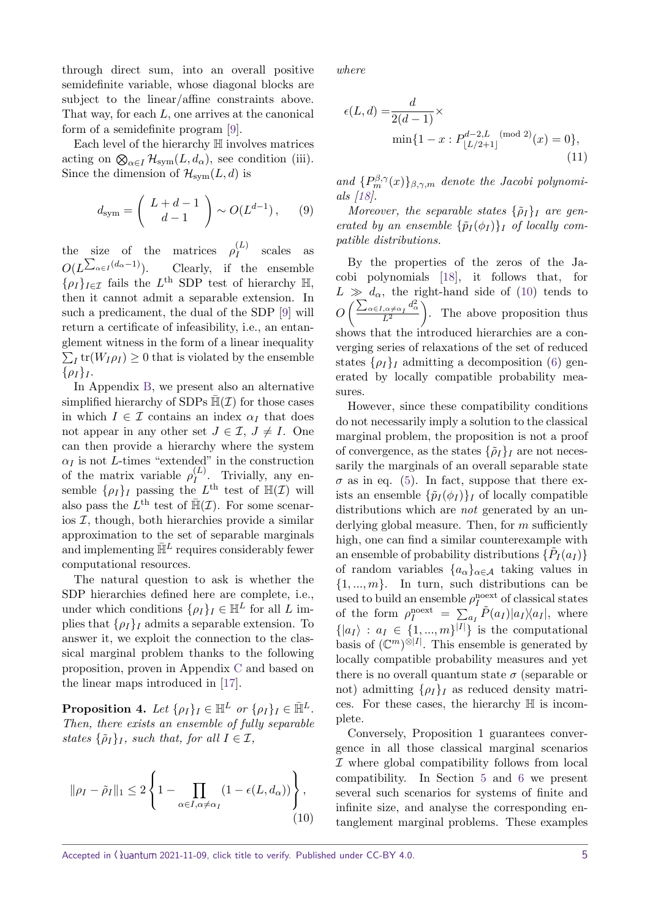through direct sum, into an overall positive semidefinite variable, whose diagonal blocks are subject to the linear/affine constraints above. That way, for each *L*, one arrives at the canonical form of a semidefinite program [\[9\]](#page-13-8).

Each level of the hierarchy H involves matrices acting on  $\bigotimes_{\alpha \in I} \mathcal{H}_{sym}(L, d_{\alpha})$ , see condition (iii). Since the dimension of  $\mathcal{H}_{\text{sym}}(L, d)$  is

$$
d_{\rm sym} = \left(\begin{array}{c} L+d-1\\d-1\end{array}\right) \sim O(L^{d-1}),\qquad (9)
$$

the size of the matrices  $\rho_I^{(L)}$  $I_I^{(L)}$  scales as  $O(L^{\sum_{\alpha \in I} (d_{\alpha}-1)})$ . Clearly, if the ensemble  $\{\rho_I\}_{I \in \mathcal{I}}$  fails the  $L^{\text{th}}$  SDP test of hierarchy H, then it cannot admit a separable extension. In such a predicament, the dual of the SDP [\[9\]](#page-13-8) will return a certificate of infeasibility, i.e., an entanglement witness in the form of a linear inequality  $\sum_I$ tr $(W_I \rho_I) \geq 0$  that is violated by the ensemble  $\{\rho_I\}_I$ .

In Appendix [B,](#page-15-0) we present also an alternative simplified hierarchy of SDPs  $\mathbb{H}(\mathcal{I})$  for those cases in which  $I \in \mathcal{I}$  contains an index  $\alpha_I$  that does not appear in any other set  $J \in \mathcal{I}, J \neq I$ . One can then provide a hierarchy where the system  $\alpha$ *I* is not *L*-times "extended" in the construction of the matrix variable  $\rho_I^{(L)}$  $I^{(L)}$ . Trivially, any ensemble  $\{\rho_I\}_I$  passing the  $L^{\text{th}}$  test of  $\mathbb{H}(\mathcal{I})$  will also pass the  $L^{\text{th}}$  test of  $\overline{\mathbb{H}}(\mathcal{I})$ . For some scenarios  $I$ , though, both hierarchies provide a similar approximation to the set of separable marginals and implementing  $\bar{\mathbb{H}}^L$  requires considerably fewer computational resources.

The natural question to ask is whether the SDP hierarchies defined here are complete, i.e., under which conditions  $\{\rho_I\}_I \in \mathbb{H}^L$  for all  $L$  implies that  $\{\rho_I\}_I$  admits a separable extension. To answer it, we exploit the connection to the classical marginal problem thanks to the following proposition, proven in Appendix [C](#page-16-0) and based on the linear maps introduced in [\[17\]](#page-13-16).

<span id="page-4-0"></span>**Proposition 4.** Let  $\{\rho_I\}_I \in \mathbb{H}^L$  or  $\{\rho_I\}_I \in \mathbb{H}^L$ . *Then, there exists an ensemble of fully separable states*  $\{\tilde{\rho}_I\}_I$ *, such that, for all*  $I \in \mathcal{I}$ *,* 

$$
\|\rho_I - \tilde{\rho}_I\|_1 \le 2 \left\{ 1 - \prod_{\alpha \in I, \alpha \ne \alpha_I} (1 - \epsilon(L, d_\alpha)) \right\},\tag{10}
$$

*where*

<span id="page-4-2"></span>
$$
\epsilon(L, d) = \frac{d}{2(d-1)} \times \min\{1 - x : P_{\lfloor L/2 + 1 \rfloor}^{d-2, L \pmod{2}}(x) = 0\},\tag{11}
$$

and  ${P_m^{\beta,\gamma}(x)}_{\beta,\gamma,m}$  *denote the Jacobi polynomials [\[18\]](#page-13-17).*

*Moreover, the separable states*  $\{\tilde{\rho}_I\}$ *I* are gen*erated by an ensemble*  $\{\tilde{p}_I(\phi_I)\}_I$  *of locally compatible distributions.*

By the properties of the zeros of the Jacobi polynomials [\[18\]](#page-13-17), it follows that, for  $L \gg d_{\alpha}$ , the right-hand side of [\(10\)](#page-4-1) tends to  $O\left(\frac{\sum_{\alpha \in I, \alpha \neq \alpha_I} d_{\alpha}^2}{I^2}\right)$  $L^2$  . The above proposition thus shows that the introduced hierarchies are a converging series of relaxations of the set of reduced states  $\{\rho_I\}_I$  admitting a decomposition [\(6\)](#page-2-3) generated by locally compatible probability measures.

However, since these compatibility conditions do not necessarily imply a solution to the classical marginal problem, the proposition is not a proof of convergence, as the states  $\{\tilde{\rho}_I\}_I$  are not necessarily the marginals of an overall separable state  $\sigma$  as in eq. [\(5\)](#page-2-2). In fact, suppose that there exists an ensemble  $\{\tilde{p}_{I}(\phi_{I})\}_{I}$  of locally compatible distributions which are *not* generated by an underlying global measure. Then, for *m* sufficiently high, one can find a similar counterexample with an ensemble of probability distributions  $\{\tilde{P}_I(a_I)\}$ of random variables  $\{a_{\alpha}\}_{{\alpha \in \mathcal{A}}}$  taking values in  $\{1, ..., m\}$ . In turn, such distributions can be used to build an ensemble  $\rho_I^{\text{noext}}$  of classical states of the form  $\rho_I^{\text{noext}} = \sum_{a_I} \tilde{P}(a_I) |a_I \rangle \langle a_I |$ , where  $\{|a_I\rangle : a_I \in \{1, ..., m\}^{|I|}\}\$ is the computational basis of  $(\mathbb{C}^m)^{\otimes |I|}$ . This ensemble is generated by locally compatible probability measures and yet there is no overall quantum state  $\sigma$  (separable or not) admitting  $\{\rho_I\}_I$  as reduced density matrices. For these cases, the hierarchy H is incomplete.

<span id="page-4-1"></span>Conversely, Proposition 1 guarantees convergence in all those classical marginal scenarios I where global compatibility follows from local compatibility. In Section [5](#page-5-0) and [6](#page-9-0) we present several such scenarios for systems of finite and infinite size, and analyse the corresponding entanglement marginal problems. These examples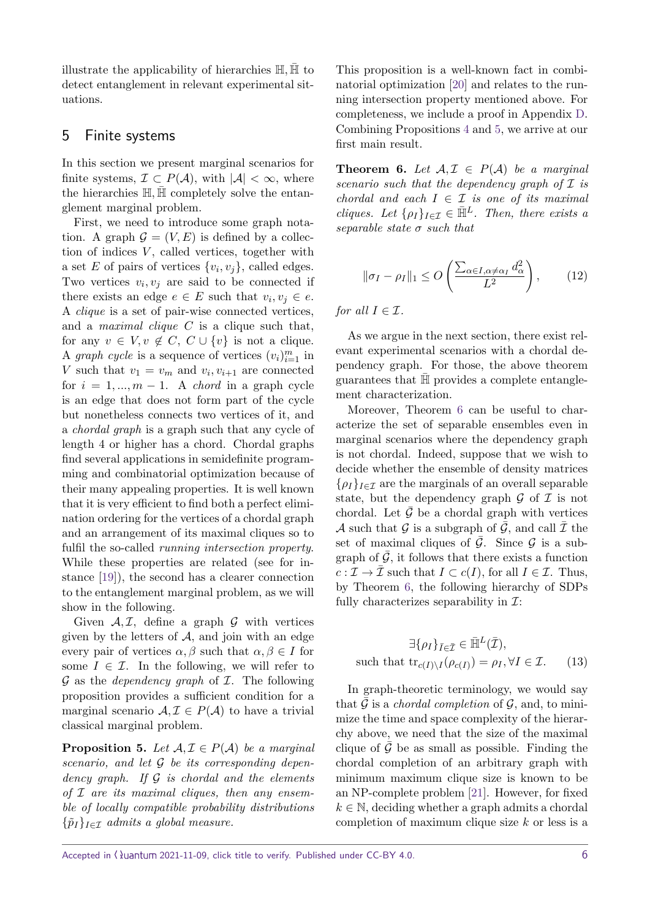illustrate the applicability of hierarchies H*,* H¯ to detect entanglement in relevant experimental situations.

# <span id="page-5-0"></span>5 Finite systems

In this section we present marginal scenarios for finite systems,  $\mathcal{I} \subset P(\mathcal{A})$ , with  $|\mathcal{A}| < \infty$ , where the hierarchies  $\mathbb{H}, \mathbb{H}$  completely solve the entanglement marginal problem.

First, we need to introduce some graph notation. A graph  $\mathcal{G} = (V, E)$  is defined by a collection of indices *V*, called vertices, together with a set *E* of pairs of vertices  $\{v_i, v_j\}$ , called edges. Two vertices  $v_i, v_j$  are said to be connected if there exists an edge  $e \in E$  such that  $v_i, v_j \in e$ . A clique is a set of pair-wise connected vertices, and a maximal clique *C* is a clique such that, for any  $v \in V, v \notin C, C \cup \{v\}$  is not a clique. A *graph cycle* is a sequence of vertices  $(v_i)_{i=1}^m$  in *V* such that  $v_1 = v_m$  and  $v_i, v_{i+1}$  are connected for  $i = 1, ..., m - 1$ . A *chord* in a graph cycle is an edge that does not form part of the cycle but nonetheless connects two vertices of it, and a chordal graph is a graph such that any cycle of length 4 or higher has a chord. Chordal graphs find several applications in semidefinite programming and combinatorial optimization because of their many appealing properties. It is well known that it is very efficient to find both a perfect elimination ordering for the vertices of a chordal graph and an arrangement of its maximal cliques so to fulfil the so-called running intersection property. While these properties are related (see for instance [\[19\]](#page-13-18)), the second has a clearer connection to the entanglement marginal problem, as we will show in the following.

Given  $A, \mathcal{I}$ , define a graph  $\mathcal G$  with vertices given by the letters of  $A$ , and join with an edge every pair of vertices  $\alpha, \beta$  such that  $\alpha, \beta \in I$  for some  $I \in \mathcal{I}$ . In the following, we will refer to  $G$  as the *dependency graph* of  $I$ . The following proposition provides a sufficient condition for a marginal scenario  $A, \mathcal{I} \in P(A)$  to have a trivial classical marginal problem.

<span id="page-5-1"></span>**Proposition 5.** Let  $A, I \in P(A)$  be a marginal *scenario, and let* G *be its corresponding dependency graph. If* G *is chordal and the elements of* I *are its maximal cliques, then any ensemble of locally compatible probability distributions*  ${\lbrace \tilde{p}_I \rbrace}_{I \in \mathcal{I}}$  *admits a global measure.* 

This proposition is a well-known fact in combinatorial optimization [\[20\]](#page-14-1) and relates to the running intersection property mentioned above. For completeness, we include a proof in Appendix [D.](#page-16-1) Combining Propositions [4](#page-4-0) and [5,](#page-5-1) we arrive at our first main result.

<span id="page-5-2"></span>**Theorem 6.** Let  $A, \mathcal{I} \in P(A)$  be a marginal *scenario such that the dependency graph of* I *is chordal and each*  $I \in \mathcal{I}$  *is one of its maximal cliques.* Let  $\{\rho_I\}_{I \in \mathcal{I}} \in \bar{\mathbb{H}}^L$ *. Then, there exists a separable state σ such that*

$$
\|\sigma_I - \rho_I\|_1 \le O\left(\frac{\sum_{\alpha \in I, \alpha \ne \alpha_I} d_{\alpha}^2}{L^2}\right),\tag{12}
$$

*for all*  $I \in \mathcal{I}$ *.* 

As we argue in the next section, there exist relevant experimental scenarios with a chordal dependency graph. For those, the above theorem guarantees that  $\bar{H}$  provides a complete entanglement characterization.

Moreover, Theorem [6](#page-5-2) can be useful to characterize the set of separable ensembles even in marginal scenarios where the dependency graph is not chordal. Indeed, suppose that we wish to decide whether the ensemble of density matrices  $\{\rho_I\}_{I \in \mathcal{I}}$  are the marginals of an overall separable state, but the dependency graph  $\mathcal G$  of  $\mathcal I$  is not chordal. Let  $\mathcal G$  be a chordal graph with vertices A such that G is a subgraph of  $\overline{G}$ , and call  $\overline{T}$  the set of maximal cliques of  $\overline{G}$ . Since  $G$  is a subgraph of  $\overline{G}$ , it follows that there exists a function  $c: \mathcal{I} \to \overline{\mathcal{I}}$  such that  $I \subset c(I)$ , for all  $I \in \mathcal{I}$ . Thus, by Theorem [6,](#page-5-2) the following hierarchy of SDPs fully characterizes separability in  $\mathcal{I}:$ 

<span id="page-5-3"></span>
$$
\exists \{\rho_I\}_{\bar{I}\in\bar{\mathcal{I}}}\in \bar{\mathbb{H}}^L(\bar{\mathcal{I}}),
$$
  
such that  $\text{tr}_{c(I)\backslash I}(\rho_{c(I)}) = \rho_I, \forall I \in \mathcal{I}.$  (13)

In graph-theoretic terminology, we would say that  $\mathcal G$  is a *chordal completion* of  $\mathcal G$ , and, to minimize the time and space complexity of the hierarchy above, we need that the size of the maximal clique of  $\overline{G}$  be as small as possible. Finding the chordal completion of an arbitrary graph with minimum maximum clique size is known to be an NP-complete problem [\[21\]](#page-14-2). However, for fixed  $k \in \mathbb{N}$ , deciding whether a graph admits a chordal completion of maximum clique size *k* or less is a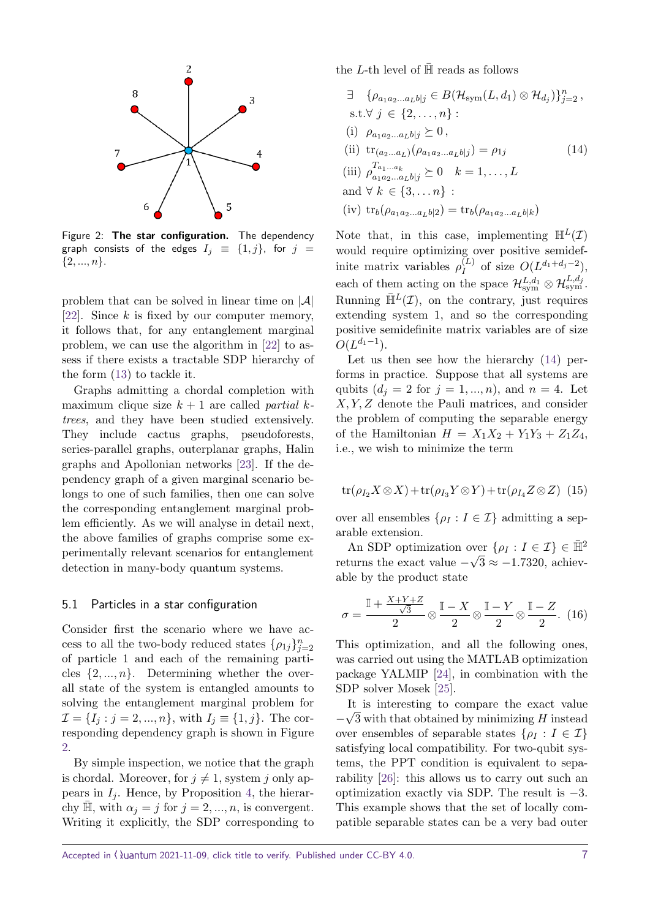<span id="page-6-0"></span>

Figure 2: **The star configuration.** The dependency graph consists of the edges  $I_j \equiv \{1, j\}$ , for  $j =$ {2*, ..., n*}.

problem that can be solved in linear time on  $|\mathcal{A}|$ [\[22\]](#page-14-3). Since *k* is fixed by our computer memory, it follows that, for any entanglement marginal problem, we can use the algorithm in [\[22\]](#page-14-3) to assess if there exists a tractable SDP hierarchy of the form [\(13\)](#page-5-3) to tackle it.

Graphs admitting a chordal completion with maximum clique size *k* + 1 are called partial *k*trees, and they have been studied extensively. They include cactus graphs, pseudoforests, series-parallel graphs, outerplanar graphs, Halin graphs and Apollonian networks [\[23\]](#page-14-4). If the dependency graph of a given marginal scenario belongs to one of such families, then one can solve the corresponding entanglement marginal problem efficiently. As we will analyse in detail next, the above families of graphs comprise some experimentally relevant scenarios for entanglement detection in many-body quantum systems.

#### 5.1 Particles in a star configuration

Consider first the scenario where we have access to all the two-body reduced states  $\{\rho_{1j}\}_{j=2}^n$ of particle 1 and each of the remaining particles  $\{2, ..., n\}$ . Determining whether the overall state of the system is entangled amounts to solving the entanglement marginal problem for  $\mathcal{I} = \{I_j : j = 2, ..., n\}$ , with  $I_j \equiv \{1, j\}$ . The corresponding dependency graph is shown in Figure [2.](#page-6-0)

By simple inspection, we notice that the graph is chordal. Moreover, for  $j \neq 1$ , system *j* only appears in  $I_j$ . Hence, by Proposition [4,](#page-4-0) the hierarchy  $\overline{\mathbb{H}}$ , with  $\alpha_j = j$  for  $j = 2, ..., n$ , is convergent. Writing it explicitly, the SDP corresponding to the *L*-th level of  $\overline{\mathbb{H}}$  reads as follows

<span id="page-6-1"></span> $\exists \{ \rho_{a_1 a_2 ... a_L b | j} \in B(\mathcal{H}_{sym}(L, d_1) \otimes \mathcal{H}_{d_j}) \}_{j=2}^n$ s.t.∀ *j* ∈ {2*, . . . , n*} :  $(i)$   $\rho_{a_1a_2...a_Lb|j} \geq 0$ , (ii)  $\text{tr}_{(a_2...a_L)}(\rho_{a_1a_2...a_Lb|j}) = \rho_{1j}$  (14)  $\left(\text{iii}\right) \rho_{a_1 a_2 ... a_L b | j}^{T_{a_1 ... a_k}} \geq 0 \quad k = 1, ..., L$ and  $\forall k \in \{3, ..., n\}$ :  $(iv)$   $\text{tr}_b(\rho_{a_1a_2...a_Lb|2}) = \text{tr}_b(\rho_{a_1a_2...a_Lb|k})$ 

Note that, in this case, implementing  $\mathbb{H}^{L}(\mathcal{I})$ would require optimizing over positive semidefinite matrix variables  $\rho_I^{(L)}$  $Q(L^{d_1+d_j-2}),$ each of them acting on the space  $\mathcal{H}^{L,d_1}_{sym} \otimes \mathcal{H}^{L,d_j}_{sym}$ . Running  $\bar{\mathbb{H}}^L(\mathcal{I})$ , on the contrary, just requires extending system 1, and so the corresponding positive semidefinite matrix variables are of size  $O(L^{d_1-1}).$ 

Let us then see how the hierarchy [\(14\)](#page-6-1) performs in practice. Suppose that all systems are qubits  $(d_j = 2 \text{ for } j = 1, ..., n)$ , and  $n = 4$ . Let *X, Y, Z* denote the Pauli matrices, and consider the problem of computing the separable energy of the Hamiltonian  $H = X_1 X_2 + Y_1 Y_3 + Z_1 Z_4$ , i.e., we wish to minimize the term

$$
\operatorname{tr}(\rho_{I_2} X \otimes X) + \operatorname{tr}(\rho_{I_3} Y \otimes Y) + \operatorname{tr}(\rho_{I_4} Z \otimes Z) \tag{15}
$$

over all ensembles  $\{\rho_I : I \in \mathcal{I}\}\$ admitting a separable extension.

An SDP optimization over  $\{\rho_I : I \in \mathcal{I}\}\in \bar{\mathbb{H}}^2$ returns the exact value  $-\sqrt{3} \approx -1.7320$ , achievable by the product state

$$
\sigma = \frac{\mathbb{I} + \frac{X+Y+Z}{\sqrt{3}}}{2} \otimes \frac{\mathbb{I} - X}{2} \otimes \frac{\mathbb{I} - Y}{2} \otimes \frac{\mathbb{I} - Z}{2}.
$$
 (16)

This optimization, and all the following ones, was carried out using the MATLAB optimization package YALMIP [\[24\]](#page-14-5), in combination with the SDP solver Mosek [\[25\]](#page-14-6).

It is interesting to compare the exact value − 3 with that obtained by minimizing *H* instead over ensembles of separable states  $\{\rho_I : I \in \mathcal{I}\}\$ satisfying local compatibility. For two-qubit systems, the PPT condition is equivalent to separability [\[26\]](#page-14-7): this allows us to carry out such an optimization exactly via SDP. The result is −3. This example shows that the set of locally compatible separable states can be a very bad outer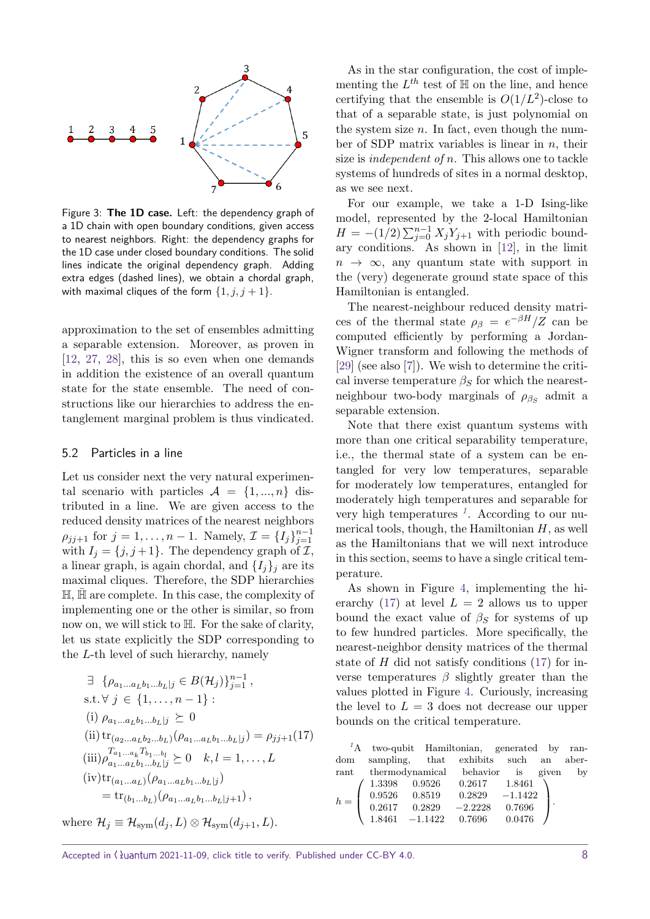<span id="page-7-2"></span>

Figure 3: **The 1D case.** Left: the dependency graph of a 1D chain with open boundary conditions, given access to nearest neighbors. Right: the dependency graphs for the 1D case under closed boundary conditions. The solid lines indicate the original dependency graph. Adding extra edges (dashed lines), we obtain a chordal graph, with maximal cliques of the form  $\{1, j, j+1\}$ .

approximation to the set of ensembles admitting a separable extension. Moreover, as proven in [\[12,](#page-13-11) [27,](#page-14-8) [28\]](#page-14-9), this is so even when one demands in addition the existence of an overall quantum state for the state ensemble. The need of constructions like our hierarchies to address the entanglement marginal problem is thus vindicated.

#### <span id="page-7-3"></span>5.2 Particles in a line

Let us consider next the very natural experimental scenario with particles  $A = \{1, ..., n\}$  distributed in a line. We are given access to the reduced density matrices of the nearest neighbors  $\rho_{jj+1}$  for  $j = 1, ..., n - 1$ . Namely,  $\mathcal{I} = \{I_j\}_{j=1}^{n-1}$ with  $I_j = \{j, j+1\}$ . The dependency graph of  $\mathcal{I}$ , a linear graph, is again chordal, and  $\{I_i\}_i$  are its maximal cliques. Therefore, the SDP hierarchies  $H$ ,  $H$  are complete. In this case, the complexity of implementing one or the other is similar, so from now on, we will stick to H. For the sake of clarity, let us state explicitly the SDP corresponding to the *L*-th level of such hierarchy, namely

<span id="page-7-1"></span>
$$
\exists \{ \rho_{a_1...a_L b_1...b_L | j} \in B(\mathcal{H}_j) \}_{j=1}^{n-1},
$$
\ns.t.  $\forall j \in \{1, ..., n-1\}$ :\n(i)  $\rho_{a_1...a_L b_1...b_L | j} \succeq 0$ \n(ii)  $\text{tr}_{(a_2...a_L b_2...b_L)}(\rho_{a_1...a_L b_1...b_L | j}) = \rho_{jj+1}(17)$ \n(iii)  $\rho_{a_1...a_L b_1...b_L | j}^{\text{T}_{a_1...a_L} \text{T}_{b_1...b_L}} \succeq 0 \quad k, l = 1, ..., L$ \n(iv)  $\text{tr}_{(a_1...a_L)}(\rho_{a_1...a_L b_1...b_L | j})$ \n
$$
= \text{tr}_{(b_1...b_L)}(\rho_{a_1...a_L b_1...b_L | j+1}),
$$

where  $\mathcal{H}_j \equiv \mathcal{H}_{sym}(d_j, L) \otimes \mathcal{H}_{sym}(d_{j+1}, L)$ .

As in the star configuration, the cost of implementing the  $L^{th}$  test of  $\mathbb H$  on the line, and hence certifying that the ensemble is  $O(1/L^2)$ -close to that of a separable state, is just polynomial on the system size *n*. In fact, even though the number of SDP matrix variables is linear in *n*, their size is independent of *n*. This allows one to tackle systems of hundreds of sites in a normal desktop, as we see next.

For our example, we take a 1-D Ising-like model, represented by the 2-local Hamiltonian  $H = -(1/2) \sum_{j=0}^{n-1} X_j Y_{j+1}$  with periodic boundary conditions. As shown in [\[12\]](#page-13-11), in the limit  $n \to \infty$ , any quantum state with support in the (very) degenerate ground state space of this Hamiltonian is entangled.

The nearest-neighbour reduced density matrices of the thermal state  $\rho_{\beta} = e^{-\beta H}/Z$  can be computed efficiently by performing a Jordan-Wigner transform and following the methods of [\[29\]](#page-14-10) (see also [\[7\]](#page-13-6)). We wish to determine the critical inverse temperature  $\beta_S$  for which the nearestneighbour two-body marginals of  $\rho_{\beta_S}$  admit a separable extension.

Note that there exist quantum systems with more than one critical separability temperature, i.e., the thermal state of a system can be entangled for very low temperatures, separable for moderately low temperatures, entangled for moderately high temperatures and separable for very high temperatures *[1](#page-7-0)* . According to our numerical tools, though, the Hamiltonian *H*, as well as the Hamiltonians that we will next introduce in this section, seems to have a single critical temperature.

As shown in Figure [4,](#page-9-1) implementing the hi-erarchy [\(17\)](#page-7-1) at level  $L = 2$  allows us to upper bound the exact value of  $\beta_S$  for systems of up to few hundred particles. More specifically, the nearest-neighbor density matrices of the thermal state of *H* did not satisfy conditions [\(17\)](#page-7-1) for inverse temperatures *β* slightly greater than the values plotted in Figure [4.](#page-9-1) Curiously, increasing the level to  $L = 3$  does not decrease our upper bounds on the critical temperature.

<span id="page-7-0"></span>

|       |  | <sup>1</sup> A two-qubit Hamiltonian, generated by ran- |  |  |
|-------|--|---------------------------------------------------------|--|--|
| dom   |  | sampling, that exhibits such an aber-                   |  |  |
|       |  | rant thermodynamical behavior is given by               |  |  |
| $h =$ |  | 1.3398  0.9526  0.2617  1.8461                          |  |  |
|       |  | $0.9526$ $0.8519$ $0.2829$ $-1.1422$                    |  |  |
|       |  | $0.2617$ $0.2829$ $-2.2228$ $0.7696$                    |  |  |
|       |  | $1.8461 -1.1422 0.7696 0.0476$                          |  |  |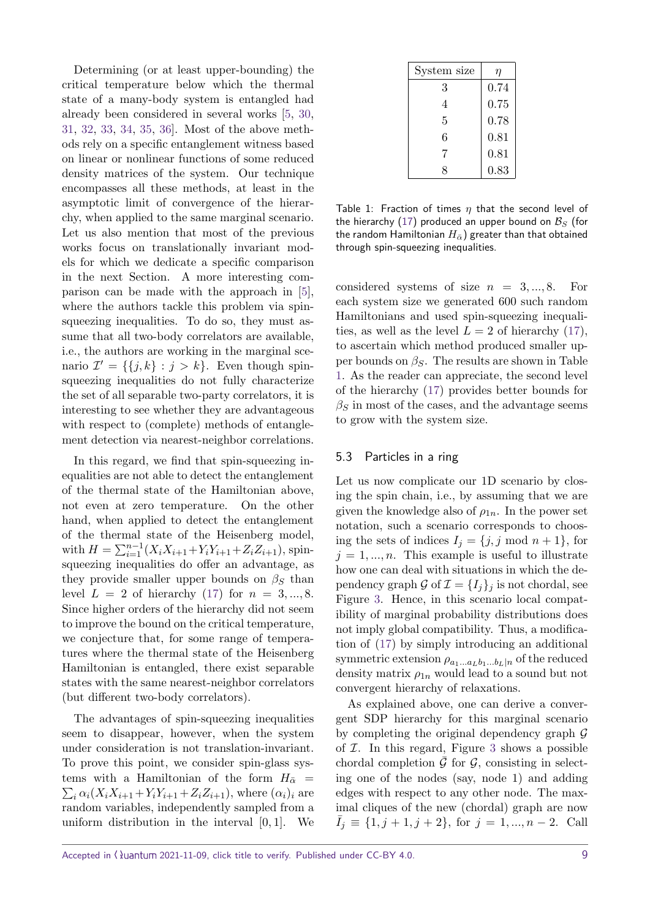Determining (or at least upper-bounding) the critical temperature below which the thermal state of a many-body system is entangled had already been considered in several works [\[5,](#page-13-4) [30,](#page-14-11) [31,](#page-14-12) [32,](#page-14-13) [33,](#page-14-14) [34,](#page-14-15) [35,](#page-14-16) [36\]](#page-14-17). Most of the above methods rely on a specific entanglement witness based on linear or nonlinear functions of some reduced density matrices of the system. Our technique encompasses all these methods, at least in the asymptotic limit of convergence of the hierarchy, when applied to the same marginal scenario. Let us also mention that most of the previous works focus on translationally invariant models for which we dedicate a specific comparison in the next Section. A more interesting comparison can be made with the approach in [\[5\]](#page-13-4), where the authors tackle this problem via spinsqueezing inequalities. To do so, they must assume that all two-body correlators are available, i.e., the authors are working in the marginal scenario  $\mathcal{I}' = \{\{j,k\} : j > k\}.$  Even though spinsqueezing inequalities do not fully characterize the set of all separable two-party correlators, it is interesting to see whether they are advantageous with respect to (complete) methods of entanglement detection via nearest-neighbor correlations.

In this regard, we find that spin-squeezing inequalities are not able to detect the entanglement of the thermal state of the Hamiltonian above, not even at zero temperature. On the other hand, when applied to detect the entanglement of the thermal state of the Heisenberg model,  $\text{with } H = \sum_{i=1}^{n-1} (X_i X_{i+1} + Y_i Y_{i+1} + Z_i Z_{i+1}),$  spinsqueezing inequalities do offer an advantage, as they provide smaller upper bounds on  $\beta_S$  than level *L* = 2 of hierarchy [\(17\)](#page-7-1) for *n* = 3*, ...,* 8. Since higher orders of the hierarchy did not seem to improve the bound on the critical temperature, we conjecture that, for some range of temperatures where the thermal state of the Heisenberg Hamiltonian is entangled, there exist separable states with the same nearest-neighbor correlators (but different two-body correlators).

The advantages of spin-squeezing inequalities seem to disappear, however, when the system under consideration is not translation-invariant. To prove this point, we consider spin-glass systems with a Hamiltonian of the form  $H_{\bar{\alpha}} =$  $\sum_i \alpha_i (X_i X_{i+1} + Y_i Y_{i+1} + Z_i Z_{i+1}),$  where  $(\alpha_i)_i$  are random variables, independently sampled from a uniform distribution in the interval [0*,* 1]. We

<span id="page-8-0"></span>

| System size | η    |
|-------------|------|
| 3           | 0.74 |
| 4           | 0.75 |
| 5           | 0.78 |
| 6           | 0.81 |
| 7           | 0.81 |
| Ω           | 0.83 |

Table 1: Fraction of times *η* that the second level of the hierarchy [\(17\)](#page-7-1) produced an upper bound on  $B<sub>S</sub>$  (for the random Hamiltonian  $H_{\overline{\alpha}}$ ) greater than that obtained through spin-squeezing inequalities.

considered systems of size  $n = 3, ..., 8$ . For each system size we generated 600 such random Hamiltonians and used spin-squeezing inequalities, as well as the level  $L = 2$  of hierarchy [\(17\)](#page-7-1), to ascertain which method produced smaller upper bounds on  $\beta_S$ . The results are shown in Table [1.](#page-8-0) As the reader can appreciate, the second level of the hierarchy [\(17\)](#page-7-1) provides better bounds for  $\beta$ *S* in most of the cases, and the advantage seems to grow with the system size.

#### 5.3 Particles in a ring

Let us now complicate our 1D scenario by closing the spin chain, i.e., by assuming that we are given the knowledge also of  $\rho_{1n}$ . In the power set notation, such a scenario corresponds to choosing the sets of indices  $I_j = \{j, j \text{ mod } n + 1\}$ , for  $j = 1, \ldots, n$ . This example is useful to illustrate how one can deal with situations in which the dependency graph G of  $\mathcal{I} = \{I_j\}_j$  is not chordal, see Figure [3.](#page-7-2) Hence, in this scenario local compatibility of marginal probability distributions does not imply global compatibility. Thus, a modification of [\(17\)](#page-7-1) by simply introducing an additional symmetric extension  $\rho_{a_1...a_Lb_1...b_L|n}$  of the reduced density matrix  $\rho_{1n}$  would lead to a sound but not convergent hierarchy of relaxations.

As explained above, one can derive a convergent SDP hierarchy for this marginal scenario by completing the original dependency graph  $\mathcal G$ of  $I$ . In this regard, Figure [3](#page-7-2) shows a possible chordal completion  $\bar{\mathcal{G}}$  for  $\mathcal{G}$ , consisting in selecting one of the nodes (say, node 1) and adding edges with respect to any other node. The maximal cliques of the new (chordal) graph are now  $I_j \equiv \{1, j+1, j+2\}$ , for  $j = 1, ..., n-2$ . Call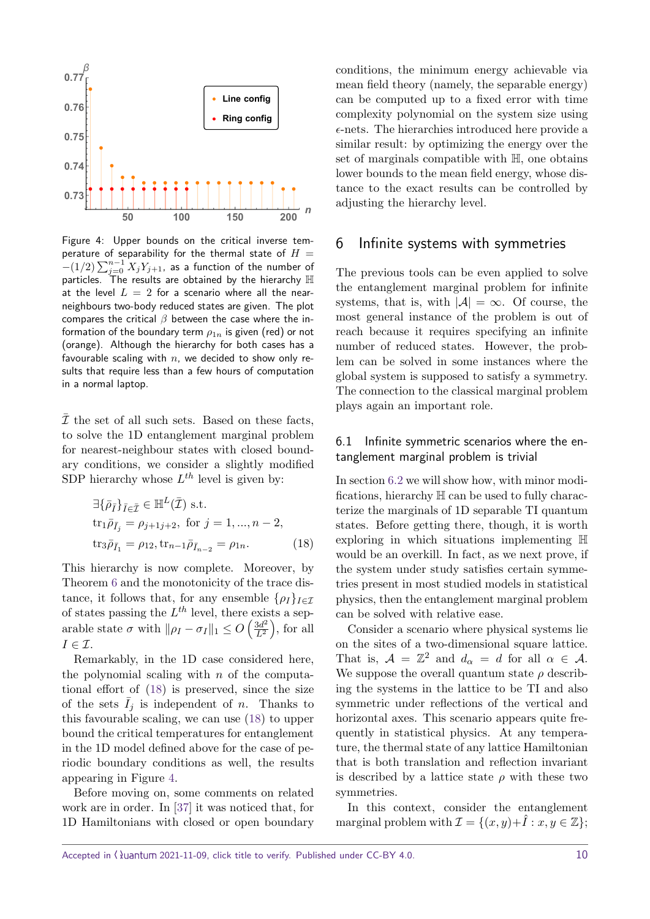<span id="page-9-1"></span>

Figure 4: Upper bounds on the critical inverse temperature of separability for the thermal state of  $H =$  $-(1/2)\sum_{j=0}^{n-1}X_jY_{j+1}$ , as a function of the number of particles. The results are obtained by the hierarchy  $\mathbb H$ at the level  $L = 2$  for a scenario where all the nearneighbours two-body reduced states are given. The plot compares the critical *β* between the case where the information of the boundary term  $\rho_{1n}$  is given (red) or not (orange). Although the hierarchy for both cases has a favourable scaling with *n*, we decided to show only results that require less than a few hours of computation in a normal laptop.

 $\overline{\mathcal{I}}$  the set of all such sets. Based on these facts, to solve the 1D entanglement marginal problem for nearest-neighbour states with closed boundary conditions, we consider a slightly modified SDP hierarchy whose  $L^{th}$  level is given by:

$$
\exists \{\bar{\rho}_{\bar{I}}\}_{\bar{I} \in \bar{\mathcal{I}}} \in \mathbb{H}^{L}(\bar{\mathcal{I}}) \text{ s.t.}
$$
  
\n
$$
\text{tr}_{1}\bar{\rho}_{\bar{I}_{j}} = \rho_{j+1j+2}, \text{ for } j = 1, ..., n-2,
$$
  
\n
$$
\text{tr}_{3}\bar{\rho}_{\bar{I}_{1}} = \rho_{12}, \text{tr}_{n-1}\bar{\rho}_{\bar{I}_{n-2}} = \rho_{1n}.
$$
 (18)

This hierarchy is now complete. Moreover, by Theorem [6](#page-5-2) and the monotonicity of the trace distance, it follows that, for any ensemble  $\{\rho_I\}_{I \in \mathcal{I}}$ of states passing the *L th* level, there exists a separable state  $\sigma$  with  $\|\rho_I - \sigma_I\|_1 \leq O\left(\frac{3d^2}{L^2}\right)$  $\frac{3d^2}{L^2}$ , for all  $I \in \mathcal{I}$ .

Remarkably, in the 1D case considered here, the polynomial scaling with *n* of the computational effort of [\(18\)](#page-9-2) is preserved, since the size of the sets  $\bar{I}_j$  is independent of *n*. Thanks to this favourable scaling, we can use [\(18\)](#page-9-2) to upper bound the critical temperatures for entanglement in the 1D model defined above for the case of periodic boundary conditions as well, the results appearing in Figure [4.](#page-9-1)

Before moving on, some comments on related work are in order. In [\[37\]](#page-14-18) it was noticed that, for 1D Hamiltonians with closed or open boundary

conditions, the minimum energy achievable via mean field theory (namely, the separable energy) can be computed up to a fixed error with time complexity polynomial on the system size using  $\epsilon$ -nets. The hierarchies introduced here provide a similar result: by optimizing the energy over the set of marginals compatible with H, one obtains lower bounds to the mean field energy, whose distance to the exact results can be controlled by adjusting the hierarchy level.

# <span id="page-9-0"></span>6 Infinite systems with symmetries

The previous tools can be even applied to solve the entanglement marginal problem for infinite systems, that is, with  $|\mathcal{A}| = \infty$ . Of course, the most general instance of the problem is out of reach because it requires specifying an infinite number of reduced states. However, the problem can be solved in some instances where the global system is supposed to satisfy a symmetry. The connection to the classical marginal problem plays again an important role.

## 6.1 Infinite symmetric scenarios where the entanglement marginal problem is trivial

<span id="page-9-2"></span>In section [6.2](#page-10-0) we will show how, with minor modifications, hierarchy H can be used to fully characterize the marginals of 1D separable TI quantum states. Before getting there, though, it is worth exploring in which situations implementing H would be an overkill. In fact, as we next prove, if the system under study satisfies certain symmetries present in most studied models in statistical physics, then the entanglement marginal problem can be solved with relative ease.

Consider a scenario where physical systems lie on the sites of a two-dimensional square lattice. That is,  $A = \mathbb{Z}^2$  and  $d_{\alpha} = d$  for all  $\alpha \in A$ . We suppose the overall quantum state  $\rho$  describing the systems in the lattice to be TI and also symmetric under reflections of the vertical and horizontal axes. This scenario appears quite frequently in statistical physics. At any temperature, the thermal state of any lattice Hamiltonian that is both translation and reflection invariant is described by a lattice state  $\rho$  with these two symmetries.

In this context, consider the entanglement marginal problem with  $\mathcal{I} = \{(x, y) + \hat{I} : x, y \in \mathbb{Z}\};$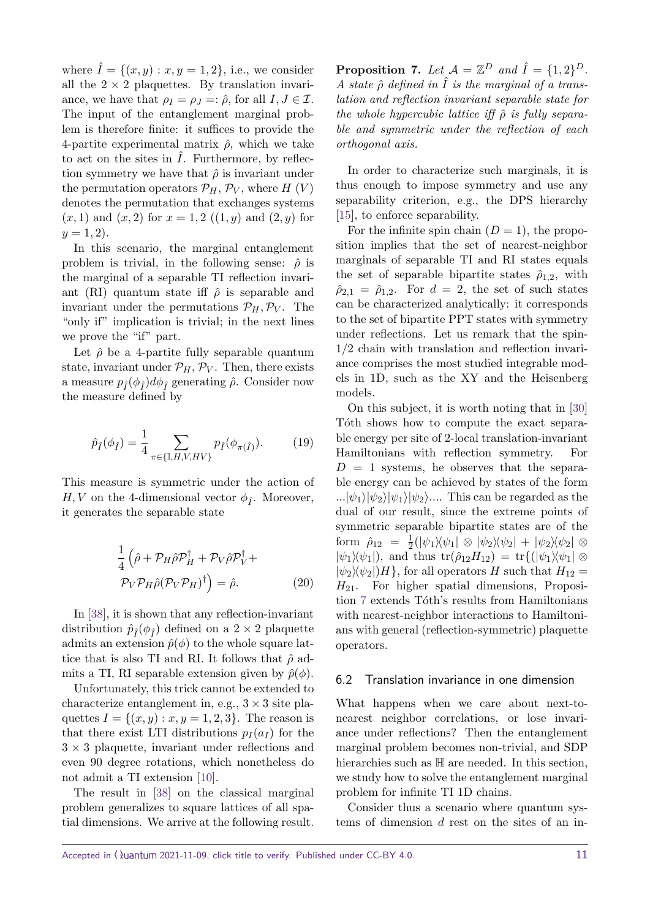where  $\hat{I} = \{(x, y) : x, y = 1, 2\}$ , i.e., we consider all the  $2 \times 2$  plaquettes. By translation invariance, we have that  $\rho_I = \rho_J =: \hat{\rho}$ , for all  $I, J \in \mathcal{I}$ . The input of the entanglement marginal problem is therefore finite: it suffices to provide the 4-partite experimental matrix  $\hat{\rho}$ , which we take to act on the sites in  $\hat{I}$ . Furthermore, by reflection symmetry we have that  $\hat{\rho}$  is invariant under the permutation operators  $\mathcal{P}_H$ ,  $\mathcal{P}_V$ , where  $H(V)$ denotes the permutation that exchanges systems  $(x, 1)$  and  $(x, 2)$  for  $x = 1, 2$   $((1, y)$  and  $(2, y)$  for  $y = 1, 2$ .

In this scenario, the marginal entanglement problem is trivial, in the following sense:  $\hat{\rho}$  is the marginal of a separable TI reflection invariant (RI) quantum state if  $\hat{\rho}$  is separable and invariant under the permutations  $\mathcal{P}_H, \mathcal{P}_V$ . The "only if" implication is trivial; in the next lines we prove the "if" part.

Let  $\hat{\rho}$  be a 4-partite fully separable quantum state, invariant under  $\mathcal{P}_H$ ,  $\mathcal{P}_V$ . Then, there exists a measure  $p_i(\phi_i)d\phi_i$  generating  $\hat{\rho}$ . Consider now the measure defined by

$$
\hat{p}_{\hat{I}}(\phi_{\hat{I}}) = \frac{1}{4} \sum_{\pi \in \{\mathbb{I}, H, V, HV\}} p_{\hat{I}}(\phi_{\pi(\hat{I})}). \tag{19}
$$

This measure is symmetric under the action of *H, V* on the 4-dimensional vector  $\phi_{\hat{I}}$ . Moreover, it generates the separable state

$$
\frac{1}{4} \left( \hat{\rho} + \mathcal{P}_H \hat{\rho} \mathcal{P}_H^{\dagger} + \mathcal{P}_V \hat{\rho} \mathcal{P}_V^{\dagger} + \mathcal{P}_V \mathcal{P}_H \hat{\rho} (\mathcal{P}_V \mathcal{P}_H)^{\dagger} \right) = \hat{\rho}.
$$
\n(20)

In [\[38\]](#page-14-19), it is shown that any reflection-invariant distribution  $\hat{p}_{\hat{I}}(\phi_{\hat{I}})$  defined on a 2 × 2 plaquette admits an extension  $\hat{p}(\phi)$  to the whole square lattice that is also TI and RI. It follows that *ρ*ˆ admits a TI, RI separable extension given by  $\hat{p}(\phi)$ .

Unfortunately, this trick cannot be extended to characterize entanglement in, e.g.,  $3 \times 3$  site plaquettes  $I = \{(x, y) : x, y = 1, 2, 3\}$ . The reason is that there exist LTI distributions  $p_I(a_I)$  for the  $3 \times 3$  plaquette, invariant under reflections and even 90 degree rotations, which nonetheless do not admit a TI extension [\[10\]](#page-13-9).

The result in [\[38\]](#page-14-19) on the classical marginal problem generalizes to square lattices of all spatial dimensions. We arrive at the following result.

<span id="page-10-1"></span>**Proposition 7.** Let  $\mathcal{A} = \mathbb{Z}^D$  and  $\hat{I} = \{1,2\}^D$ . *A* state  $\hat{\rho}$  defined in  $\hat{I}$  is the marginal of a trans*lation and reflection invariant separable state for the whole hypercubic lattice iff*  $ρ̃$ *is fully separable and symmetric under the reflection of each orthogonal axis.*

In order to characterize such marginals, it is thus enough to impose symmetry and use any separability criterion, e.g., the DPS hierarchy [\[15\]](#page-13-14), to enforce separability.

For the infinite spin chain  $(D = 1)$ , the proposition implies that the set of nearest-neighbor marginals of separable TI and RI states equals the set of separable bipartite states  $\hat{\rho}_{1,2}$ , with  $\hat{\rho}_{2,1} = \hat{\rho}_{1,2}$ . For  $d = 2$ , the set of such states can be characterized analytically: it corresponds to the set of bipartite PPT states with symmetry under reflections. Let us remark that the spin-1*/*2 chain with translation and reflection invariance comprises the most studied integrable models in 1D, such as the XY and the Heisenberg models.

On this subject, it is worth noting that in [\[30\]](#page-14-11) Tóth shows how to compute the exact separable energy per site of 2-local translation-invariant Hamiltonians with reflection symmetry. For  $D = 1$  systems, he observes that the separable energy can be achieved by states of the form  $\ldots |\psi_1\rangle|\psi_2\rangle|\psi_1\rangle|\psi_2\rangle\ldots$  This can be regarded as the dual of our result, since the extreme points of symmetric separable bipartite states are of the form  $\hat{\rho}_{12} = \frac{1}{2}$  $\frac{1}{2}(|\psi_1\rangle\langle\psi_1|\otimes|\psi_2\rangle\langle\psi_2| + |\psi_2\rangle\langle\psi_2|\otimes$  $|\psi_1\rangle\langle\psi_1|$ , and thus tr( $\hat{\rho}_{12}H_{12}$ ) = tr{( $|\psi_1\rangle\langle\psi_1| \otimes$  $|\psi_2\rangle\langle\psi_2|$ *H*}, for all operators *H* such that  $H_{12}$  = *H*21. For higher spatial dimensions, Proposi-tion [7](#page-10-1) extends Tóth's results from Hamiltonians with nearest-neighbor interactions to Hamiltonians with general (reflection-symmetric) plaquette operators.

#### <span id="page-10-0"></span>6.2 Translation invariance in one dimension

What happens when we care about next-tonearest neighbor correlations, or lose invariance under reflections? Then the entanglement marginal problem becomes non-trivial, and SDP hierarchies such as  $\mathbb H$  are needed. In this section, we study how to solve the entanglement marginal problem for infinite TI 1D chains.

Consider thus a scenario where quantum systems of dimension *d* rest on the sites of an in-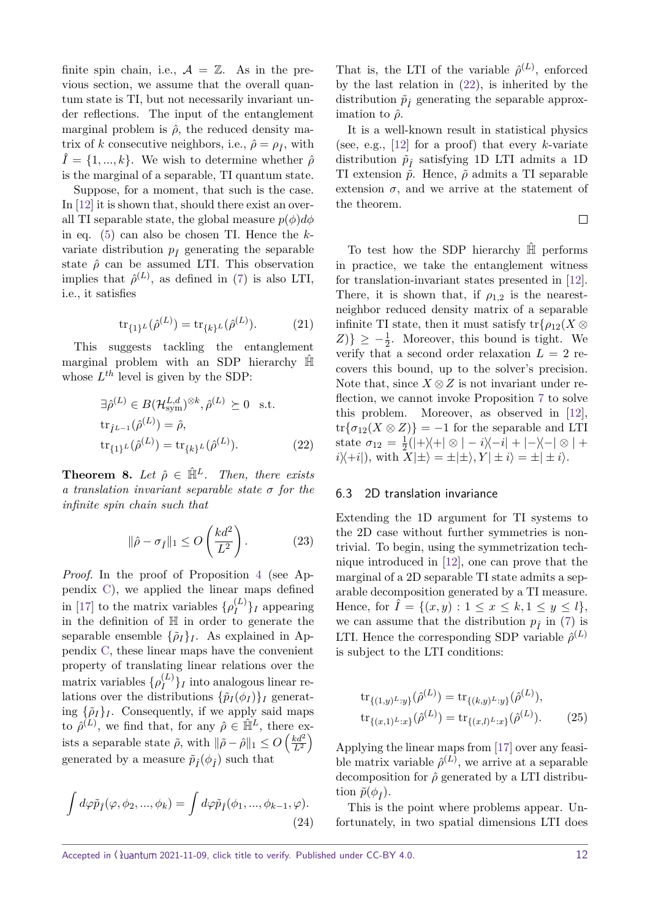finite spin chain, i.e.,  $A = \mathbb{Z}$ . As in the previous section, we assume that the overall quantum state is TI, but not necessarily invariant under reflections. The input of the entanglement marginal problem is  $\hat{\rho}$ , the reduced density matrix of *k* consecutive neighbors, i.e.,  $\hat{\rho} = \rho_{\hat{I}}$ , with  $\hat{I} = \{1, ..., k\}$ . We wish to determine whether  $\hat{\rho}$ is the marginal of a separable, TI quantum state.

Suppose, for a moment, that such is the case. In [\[12\]](#page-13-11) it is shown that, should there exist an overall TI separable state, the global measure  $p(\phi)d\phi$ in eq. [\(5\)](#page-2-2) can also be chosen TI. Hence the *k*variate distribution  $p<sub>f</sub>$ <sup> $\alpha$ </sup> generating the separable state  $\hat{\rho}$  can be assumed LTI. This observation implies that  $\hat{\rho}^{(L)}$ , as defined in [\(7\)](#page-3-1) is also LTI, i.e., it satisfies

$$
\text{tr}_{\{1\}^L}(\hat{\rho}^{(L)}) = \text{tr}_{\{k\}^L}(\hat{\rho}^{(L)}).
$$
 (21)

<span id="page-11-1"></span>This suggests tackling the entanglement marginal problem with an SDP hierarchy  $\hat{\mathbb{H}}$ whose *L th* level is given by the SDP:

$$
\exists \hat{\rho}^{(L)} \in B(\mathcal{H}_{sym}^{L,d})^{\otimes k}, \hat{\rho}^{(L)} \succeq 0 \text{ s.t.}
$$

$$
\operatorname{tr}_{\hat{I}^{L-1}}(\hat{\rho}^{(L)}) = \hat{\rho},
$$

$$
\operatorname{tr}_{\{1\}^L}(\hat{\rho}^{(L)}) = \operatorname{tr}_{\{k\}^L}(\hat{\rho}^{(L)}).
$$
(22)

**Theorem 8.** Let  $\hat{\rho} \in \hat{\mathbb{H}}^L$ . Then, there exists *a translation invariant separable state σ for the infinite spin chain such that*

$$
\|\hat{\rho} - \sigma_{\hat{I}}\|_1 \le O\left(\frac{kd^2}{L^2}\right). \tag{23}
$$

*Proof.* In the proof of Proposition [4](#page-4-0) (see Appendix [C\)](#page-16-0), we applied the linear maps defined in [\[17\]](#page-13-16) to the matrix variables  $\{\rho_I^{(L)}\}$  $\binom{L}{I}$ *I* appearing in the definition of H in order to generate the separable ensemble  $\{\tilde{\rho}_I\}_I$ . As explained in Appendix [C,](#page-16-0) these linear maps have the convenient property of translating linear relations over the matrix variables  $\{\rho_I^{(L)}\}$  $\binom{L}{I}$ *I* into analogous linear relations over the distributions  $\{\tilde{p}_I(\phi_I)\}_I$  generating  $\{\tilde{\rho}_I\}_I$ . Consequently, if we apply said maps to  $\hat{\rho}^{(L)}$ , we find that, for any  $\hat{\rho} \in \hat{\mathbb{H}}^L$ , there exists a separable state  $\tilde{\rho}$ , with  $\|\tilde{\rho} - \hat{\rho}\|_1 \le O\left(\frac{kd^2}{L^2}\right)$  $\frac{kd^2}{L^2}\Big)$ generated by a measure  $\tilde{p}_{\hat{I}}(\phi_{\hat{I}})$  such that

$$
\int d\varphi \tilde{p}_{\hat{I}}(\varphi, \phi_2, ..., \phi_k) = \int d\varphi \tilde{p}_{\hat{I}}(\phi_1, ..., \phi_{k-1}, \varphi).
$$
\n(24)

That is, the LTI of the variable  $\hat{\rho}^{(L)}$ , enforced by the last relation in [\(22\)](#page-11-0), is inherited by the distribution  $\tilde{p}_{\hat{I}}$  generating the separable approximation to  $\hat{\rho}$ .

It is a well-known result in statistical physics (see, e.g., [\[12\]](#page-13-11) for a proof) that every *k*-variate distribution  $\tilde{p}_f$  satisfying 1D LTI admits a 1D TI extension  $\tilde{p}$ . Hence,  $\tilde{\rho}$  admits a TI separable extension  $\sigma$ , and we arrive at the statement of the theorem.

 $\Box$ 

To test how the SDP hierarchy  $\hat{H}$  performs in practice, we take the entanglement witness for translation-invariant states presented in [\[12\]](#page-13-11). There, it is shown that, if  $\rho_{1,2}$  is the nearestneighbor reduced density matrix of a separable infinite TI state, then it must satisfy  $\text{tr}\{\rho_{12}(X\otimes$  $Z$ )}  $\geq -\frac{1}{2}$ . Moreover, this bound is tight. We verify that a second order relaxation  $L = 2$  recovers this bound, up to the solver's precision. Note that, since  $X \otimes Z$  is not invariant under reflection, we cannot invoke Proposition [7](#page-10-1) to solve this problem. Moreover, as observed in [\[12\]](#page-13-11),  $tr{\sigma_{12}(X \otimes Z)} = -1$  for the separable and LTI state  $\sigma_{12} = \frac{1}{2}$  $\frac{1}{2}(|+\rangle\langle+| \otimes | -i \rangle\langle-i| + |-\rangle\langle-| \otimes | +$  $i\langle i|i\rangle + i|j\rangle$ , with  $X|\pm i\rangle = \pm |\pm i\rangle$ ,  $Y|\pm i\rangle = \pm |\pm i\rangle$ .

#### <span id="page-11-0"></span>6.3 2D translation invariance

Extending the 1D argument for TI systems to the 2D case without further symmetries is nontrivial. To begin, using the symmetrization technique introduced in [\[12\]](#page-13-11), one can prove that the marginal of a 2D separable TI state admits a separable decomposition generated by a TI measure. Hence, for  $\tilde{I} = \{(x, y) : 1 \le x \le k, 1 \le y \le l\},\$ we can assume that the distribution  $p_f$  in [\(7\)](#page-3-1) is LTI. Hence the corresponding SDP variable  $\hat{\rho}^{(L)}$ is subject to the LTI conditions:

<span id="page-11-2"></span>
$$
tr_{\{(1,y)^L:y\}}(\hat{\rho}^{(L)}) = tr_{\{(k,y)^L:y\}}(\hat{\rho}^{(L)}),
$$
  
\n
$$
tr_{\{(x,1)^L:x\}}(\hat{\rho}^{(L)}) = tr_{\{(x,l)^L:x\}}(\hat{\rho}^{(L)}).
$$
 (25)

Applying the linear maps from [\[17\]](#page-13-16) over any feasible matrix variable  $\hat{\rho}^{(L)}$ , we arrive at a separable decomposition for *ρ*ˆ generated by a LTI distribution  $\tilde{p}(\phi_{\hat{r}})$ .

This is the point where problems appear. Unfortunately, in two spatial dimensions LTI does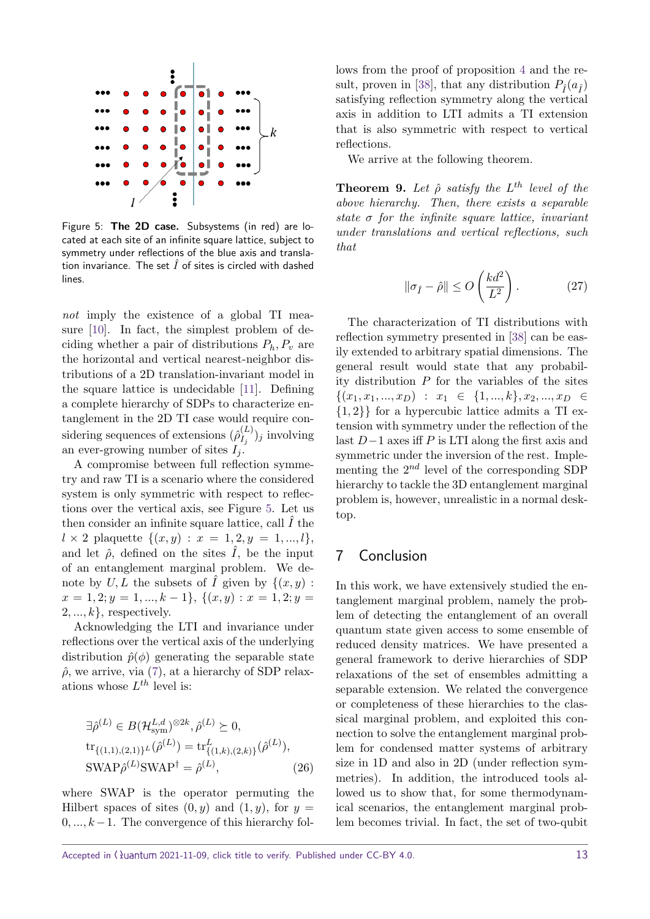<span id="page-12-1"></span>

Figure 5: **The 2D case.** Subsystems (in red) are located at each site of an infinite square lattice, subject to symmetry under reflections of the blue axis and translation invariance. The set  $\hat{I}$  of sites is circled with dashed lines.

not imply the existence of a global TI measure [\[10\]](#page-13-9). In fact, the simplest problem of deciding whether a pair of distributions *Ph, P<sup>v</sup>* are the horizontal and vertical nearest-neighbor distributions of a 2D translation-invariant model in the square lattice is undecidable [\[11\]](#page-13-10). Defining a complete hierarchy of SDPs to characterize entanglement in the 2D TI case would require considering sequences of extensions  $(\hat{\rho}^{(L)}_L)$  $\binom{L}{I_j}$  *j* involving an ever-growing number of sites  $I_i$ .

A compromise between full reflection symmetry and raw TI is a scenario where the considered system is only symmetric with respect to reflections over the vertical axis, see Figure [5.](#page-12-1) Let us then consider an infinite square lattice, call  $\hat{I}$  the  $l \times 2$  plaquette  $\{(x, y) : x = 1, 2, y = 1, ..., l\},\$ and let  $\hat{\rho}$ , defined on the sites  $\hat{I}$ , be the input of an entanglement marginal problem. We denote by  $U, L$  the subsets of  $\hat{I}$  given by  $\{(x, y)$ :  $x = 1, 2; y = 1, \ldots, k - 1$ ,  $\{(x, y) : x = 1, 2; y = 1\}$  $2, \ldots, k$ , respectively.

Acknowledging the LTI and invariance under reflections over the vertical axis of the underlying distribution  $\hat{p}(\phi)$  generating the separable state  $\hat{\rho}$ , we arrive, via [\(7\)](#page-3-1), at a hierarchy of SDP relaxations whose *L th* level is:

$$
\exists \hat{\rho}^{(L)} \in B(\mathcal{H}_{sym}^{L,d})^{\otimes 2k}, \hat{\rho}^{(L)} \succeq 0,
$$
  
\n
$$
\text{tr}_{\{(1,1),(2,1)\}^L}(\hat{\rho}^{(L)}) = \text{tr}_{\{(1,k),(2,k)\}}^L(\hat{\rho}^{(L)}),
$$
  
\n
$$
\text{SWAP}\hat{\rho}^{(L)}\text{SWAP}^{\dagger} = \hat{\rho}^{(L)},
$$
\n(26)

where SWAP is the operator permuting the Hilbert spaces of sites  $(0, y)$  and  $(1, y)$ , for  $y =$ 0*, ..., k*−1. The convergence of this hierarchy fol-

lows from the proof of proposition [4](#page-4-0) and the re-sult, proven in [\[38\]](#page-14-19), that any distribution  $P_{\hat{I}}(a_{\hat{I}})$ satisfying reflection symmetry along the vertical axis in addition to LTI admits a TI extension that is also symmetric with respect to vertical reflections.

We arrive at the following theorem.

**Theorem 9.** Let  $\hat{\rho}$  satisfy the  $L^{th}$  level of the *above hierarchy. Then, there exists a separable state σ for the infinite square lattice, invariant under translations and vertical reflections, such that*

$$
\|\sigma_{\hat{I}} - \hat{\rho}\| \le O\left(\frac{kd^2}{L^2}\right). \tag{27}
$$

The characterization of TI distributions with reflection symmetry presented in [\[38\]](#page-14-19) can be easily extended to arbitrary spatial dimensions. The general result would state that any probability distribution *P* for the variables of the sites  $\{(x_1, x_1, ..., x_D) : x_1 \in \{1, ..., k\}, x_2, ..., x_D \in$ {1*,* 2}} for a hypercubic lattice admits a TI extension with symmetry under the reflection of the last *D*−1 axes iff *P* is LTI along the first axis and symmetric under the inversion of the rest. Implementing the 2 *nd* level of the corresponding SDP hierarchy to tackle the 3D entanglement marginal problem is, however, unrealistic in a normal desktop.

# <span id="page-12-0"></span>7 Conclusion

In this work, we have extensively studied the entanglement marginal problem, namely the problem of detecting the entanglement of an overall quantum state given access to some ensemble of reduced density matrices. We have presented a general framework to derive hierarchies of SDP relaxations of the set of ensembles admitting a separable extension. We related the convergence or completeness of these hierarchies to the classical marginal problem, and exploited this connection to solve the entanglement marginal problem for condensed matter systems of arbitrary size in 1D and also in 2D (under reflection symmetries). In addition, the introduced tools allowed us to show that, for some thermodynamical scenarios, the entanglement marginal problem becomes trivial. In fact, the set of two-qubit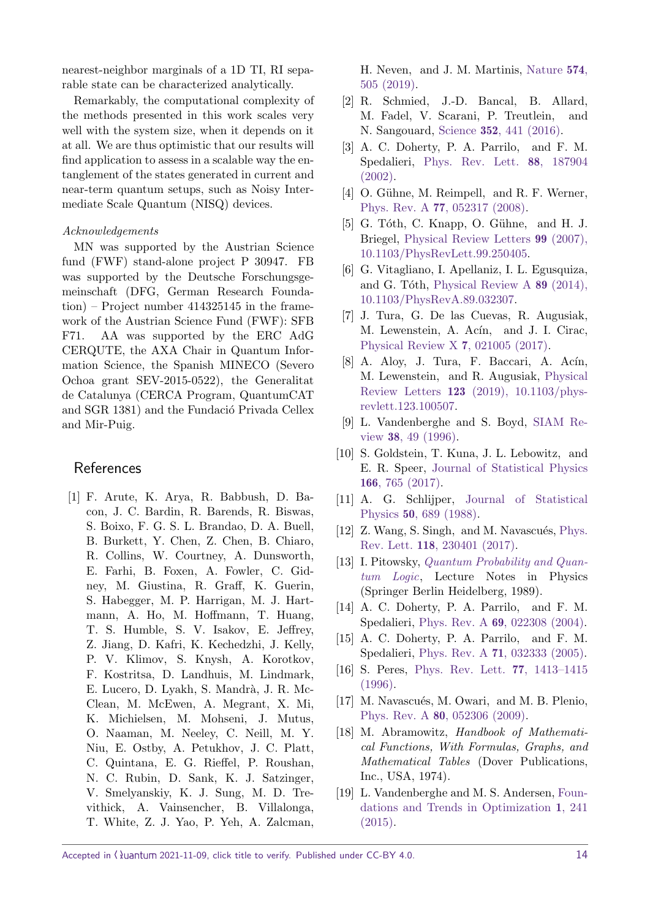nearest-neighbor marginals of a 1D TI, RI separable state can be characterized analytically.

Remarkably, the computational complexity of the methods presented in this work scales very well with the system size, when it depends on it at all. We are thus optimistic that our results will find application to assess in a scalable way the entanglement of the states generated in current and near-term quantum setups, such as Noisy Intermediate Scale Quantum (NISQ) devices.

#### Acknowledgements

MN was supported by the Austrian Science fund (FWF) stand-alone project P 30947. FB was supported by the Deutsche Forschungsgemeinschaft (DFG, German Research Foundation) – Project number 414325145 in the framework of the Austrian Science Fund (FWF): SFB F71. AA was supported by the ERC AdG CERQUTE, the AXA Chair in Quantum Information Science, the Spanish MINECO (Severo Ochoa grant SEV-2015-0522), the Generalitat de Catalunya (CERCA Program, QuantumCAT and SGR 1381) and the Fundació Privada Cellex and Mir-Puig.

# **References**

<span id="page-13-0"></span>[1] F. Arute, K. Arya, R. Babbush, D. Bacon, J. C. Bardin, R. Barends, R. Biswas, S. Boixo, F. G. S. L. Brandao, D. A. Buell, B. Burkett, Y. Chen, Z. Chen, B. Chiaro, R. Collins, W. Courtney, A. Dunsworth, E. Farhi, B. Foxen, A. Fowler, C. Gidney, M. Giustina, R. Graff, K. Guerin, S. Habegger, M. P. Harrigan, M. J. Hartmann, A. Ho, M. Hoffmann, T. Huang, T. S. Humble, S. V. Isakov, E. Jeffrey, Z. Jiang, D. Kafri, K. Kechedzhi, J. Kelly, P. V. Klimov, S. Knysh, A. Korotkov, F. Kostritsa, D. Landhuis, M. Lindmark, E. Lucero, D. Lyakh, S. Mandrà, J. R. Mc-Clean, M. McEwen, A. Megrant, X. Mi, K. Michielsen, M. Mohseni, J. Mutus, O. Naaman, M. Neeley, C. Neill, M. Y. Niu, E. Ostby, A. Petukhov, J. C. Platt, C. Quintana, E. G. Rieffel, P. Roushan, N. C. Rubin, D. Sank, K. J. Satzinger, V. Smelyanskiy, K. J. Sung, M. D. Trevithick, A. Vainsencher, B. Villalonga, T. White, Z. J. Yao, P. Yeh, A. Zalcman,

H. Neven, and J. M. Martinis, [Nature](https://doi.org/10.1038/s41586-019-1666-5) 574, [505 \(2019\).](https://doi.org/10.1038/s41586-019-1666-5)

- <span id="page-13-1"></span>[2] R. Schmied, J.-D. Bancal, B. Allard, M. Fadel, V. Scarani, P. Treutlein, and N. Sangouard, Science 352[, 441 \(2016\).](https://doi.org/10.1126/science.aad8665)
- <span id="page-13-2"></span>[3] A. C. Doherty, P. A. Parrilo, and F. M. Spedalieri, [Phys. Rev. Lett.](https://doi.org/10.1103/PhysRevLett.88.187904) 88, 187904 [\(2002\).](https://doi.org/10.1103/PhysRevLett.88.187904)
- <span id="page-13-3"></span>[4] O. Gühne, M. Reimpell, and R. F. Werner, Phys. Rev. A 77[, 052317 \(2008\).](https://doi.org/10.1103/PhysRevA.77.052317)
- <span id="page-13-4"></span>[5] G. Tóth, C. Knapp, O. Gühne, and H. J. Briegel, [Physical Review Letters](https://doi.org/10.1103/PhysRevLett.99.250405) 99 (2007), [10.1103/PhysRevLett.99.250405.](https://doi.org/10.1103/PhysRevLett.99.250405)
- <span id="page-13-5"></span>[6] G. Vitagliano, I. Apellaniz, I. L. Egusquiza, and G. Tóth, [Physical Review A](https://doi.org/10.1103/PhysRevA.89.032307)  $89$  (2014), [10.1103/PhysRevA.89.032307.](https://doi.org/10.1103/PhysRevA.89.032307)
- <span id="page-13-6"></span>[7] J. Tura, G. De las Cuevas, R. Augusiak, M. Lewenstein, A. Acín, and J. I. Cirac, [Physical Review X](https://doi.org/ 10.1103/PhysRevX.7.021005) 7, 021005 (2017).
- <span id="page-13-7"></span> $[8]$  A. Aloy, J. Tura, F. Baccari, A. Acín, M. Lewenstein, and R. Augusiak, [Physical](https://doi.org/ 10.1103/physrevlett.123.100507) Review Letters 123 [\(2019\), 10.1103/phys](https://doi.org/ 10.1103/physrevlett.123.100507)[revlett.123.100507.](https://doi.org/ 10.1103/physrevlett.123.100507)
- <span id="page-13-8"></span>[9] L. Vandenberghe and S. Boyd, [SIAM Re](https://doi.org/10.1137/1038003)view 38[, 49 \(1996\).](https://doi.org/10.1137/1038003)
- <span id="page-13-9"></span>[10] S. Goldstein, T. Kuna, J. L. Lebowitz, and E. R. Speer, [Journal of Statistical Physics](https://doi.org/10.1007/s10955-016-1595-8) 166[, 765 \(2017\).](https://doi.org/10.1007/s10955-016-1595-8)
- <span id="page-13-10"></span>[11] A. G. Schlijper, [Journal of Statistical](https://doi.org/10.1007/BF01026496) Physics 50[, 689 \(1988\).](https://doi.org/10.1007/BF01026496)
- <span id="page-13-11"></span>[12] Z. Wang, S. Singh, and M. Navascués, [Phys.](https://doi.org/10.1103/PhysRevLett.118.230401) Rev. Lett. 118[, 230401 \(2017\).](https://doi.org/10.1103/PhysRevLett.118.230401)
- <span id="page-13-12"></span>[13] I. Pitowsky, *[Quantum Probability and Quan](https://books.google.at/books?id=oa3vAAAAMAAJ)*[tum Logic](https://books.google.at/books?id=oa3vAAAAMAAJ), Lecture Notes in Physics (Springer Berlin Heidelberg, 1989).
- <span id="page-13-13"></span>[14] A. C. Doherty, P. A. Parrilo, and F. M. Spedalieri, Phys. Rev. A 69[, 022308 \(2004\).](https://doi.org/10.1103/PhysRevA.69.022308)
- <span id="page-13-14"></span>[15] A. C. Doherty, P. A. Parrilo, and F. M. Spedalieri, Phys. Rev. A 71[, 032333 \(2005\).](https://doi.org/10.1103/PhysRevA.71.032333)
- <span id="page-13-15"></span>[16] S. Peres, [Phys. Rev. Lett.](https://doi.org/10.1103/PhysRevLett.77.1413) 77, 1413–1415 [\(1996\).](https://doi.org/10.1103/PhysRevLett.77.1413)
- <span id="page-13-16"></span>[17] M. Navascués, M. Owari, and M. B. Plenio, Phys. Rev. A 80[, 052306 \(2009\).](https://doi.org/10.1103/PhysRevA.80.052306)
- <span id="page-13-17"></span>[18] M. Abramowitz, Handbook of Mathematical Functions, With Formulas, Graphs, and Mathematical Tables (Dover Publications, Inc., USA, 1974).
- <span id="page-13-18"></span>[19] L. Vandenberghe and M. S. Andersen, [Foun](https://doi.org/10.1561/2400000006)[dations and Trends in Optimization](https://doi.org/10.1561/2400000006) 1, 241 [\(2015\).](https://doi.org/10.1561/2400000006)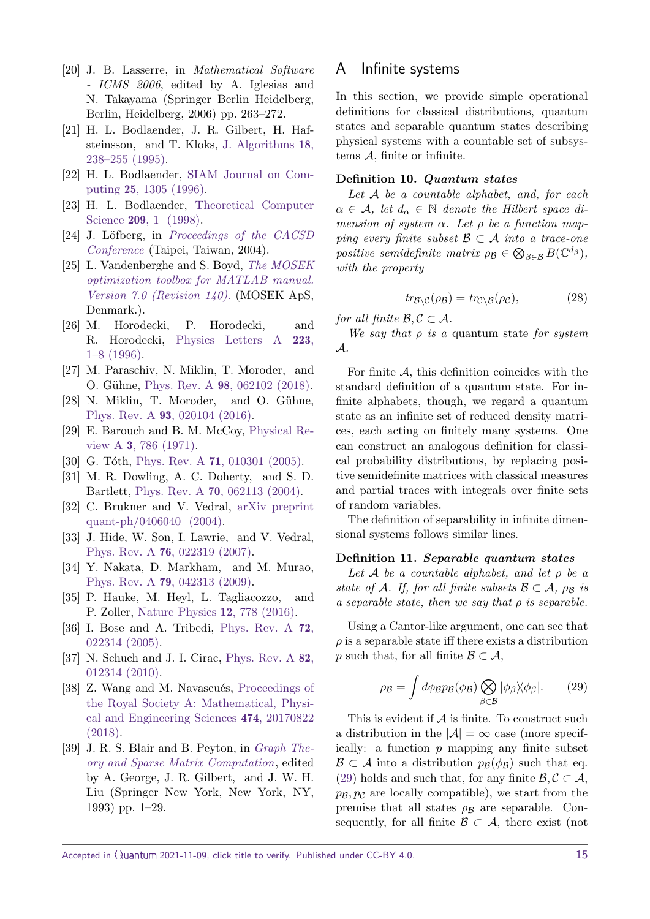- <span id="page-14-1"></span>[20] J. B. Lasserre, in Mathematical Software - ICMS 2006, edited by A. Iglesias and N. Takayama (Springer Berlin Heidelberg, Berlin, Heidelberg, 2006) pp. 263–272.
- <span id="page-14-2"></span>[21] H. L. Bodlaender, J. R. Gilbert, H. Hafsteinsson, and T. Kloks, [J. Algorithms](https://doi.org/10.1006/jagm.1995.1009) 18, [238–255 \(1995\).](https://doi.org/10.1006/jagm.1995.1009)
- <span id="page-14-3"></span>[22] H. L. Bodlaender, [SIAM Journal on Com](https://doi.org/10.1137/S0097539793251219)puting 25[, 1305 \(1996\).](https://doi.org/10.1137/S0097539793251219)
- <span id="page-14-4"></span>[23] H. L. Bodlaender, [Theoretical Computer](https://doi.org/ https://doi.org/10.1016/S0304-3975(97)00228-4) Science 209[, 1 \(1998\).](https://doi.org/ https://doi.org/10.1016/S0304-3975(97)00228-4)
- <span id="page-14-5"></span>[24] J. Löfberg, in [Proceedings of the CACSD](https://doi.org/10.1109/CACSD.2004.1393890) [Conference](https://doi.org/10.1109/CACSD.2004.1393890) (Taipei, Taiwan, 2004).
- <span id="page-14-6"></span>[25] L. Vandenberghe and S. Boyd, [The MOSEK](http://docs.mosek.com/7.0/toolbox/index.html) [optimization toolbox for MATLAB manual.](http://docs.mosek.com/7.0/toolbox/index.html) [Version 7.0 \(Revision 140\).](http://docs.mosek.com/7.0/toolbox/index.html) (MOSEK ApS, Denmark.).
- <span id="page-14-7"></span>[26] M. Horodecki, P. Horodecki, and R. Horodecki, [Physics Letters A](https://doi.org/10.1016/s0375-9601(96)00706-2) 223, [1–8 \(1996\).](https://doi.org/10.1016/s0375-9601(96)00706-2)
- <span id="page-14-8"></span>[27] M. Paraschiv, N. Miklin, T. Moroder, and O. Gühne, Phys. Rev. A 98[, 062102 \(2018\).](https://doi.org/10.1103/PhysRevA.98.062102)
- <span id="page-14-9"></span>[28] N. Miklin, T. Moroder, and O. Gühne, Phys. Rev. A 93[, 020104 \(2016\).](https://doi.org/10.1103/PhysRevA.93.020104)
- <span id="page-14-10"></span>[29] E. Barouch and B. M. McCoy, [Physical Re](https://doi.org/10.1103/PhysRevA.3.786)view A 3[, 786 \(1971\).](https://doi.org/10.1103/PhysRevA.3.786)
- <span id="page-14-11"></span>[30] G. Tóth, Phys. Rev. A 71[, 010301 \(2005\).](https://doi.org/10.1103/PhysRevA.71.010301)
- <span id="page-14-12"></span>[31] M. R. Dowling, A. C. Doherty, and S. D. Bartlett, Phys. Rev. A 70[, 062113 \(2004\).](https://doi.org/10.1103/PhysRevA.70.062113)
- <span id="page-14-13"></span>[32] C. Brukner and V. Vedral, [arXiv preprint](https://arxiv.org/abs/quant-ph/0406040) [quant-ph/0406040 \(2004\).](https://arxiv.org/abs/quant-ph/0406040)
- <span id="page-14-14"></span>[33] J. Hide, W. Son, I. Lawrie, and V. Vedral, Phys. Rev. A 76[, 022319 \(2007\).](https://doi.org/ 10.1103/PhysRevA.76.022319)
- <span id="page-14-15"></span>[34] Y. Nakata, D. Markham, and M. Murao, Phys. Rev. A 79[, 042313 \(2009\).](https://doi.org/10.1103/PhysRevA.79.042313)
- <span id="page-14-16"></span>[35] P. Hauke, M. Heyl, L. Tagliacozzo, and P. Zoller, [Nature Physics](https://doi.org/10.1038/nphys3700) 12, 778 (2016).
- <span id="page-14-17"></span>[36] I. Bose and A. Tribedi, [Phys. Rev. A](https://doi.org/10.1103/PhysRevA.72.022314) 72, [022314 \(2005\).](https://doi.org/10.1103/PhysRevA.72.022314)
- <span id="page-14-18"></span>[37] N. Schuch and J. I. Cirac, [Phys. Rev. A](https://doi.org/10.1103/PhysRevA.82.012314) 82, [012314 \(2010\).](https://doi.org/10.1103/PhysRevA.82.012314)
- <span id="page-14-19"></span>[38] Z. Wang and M. Navascués, [Proceedings of](https://doi.org/10.1098/rspa.2017.0822) [the Royal Society A: Mathematical, Physi](https://doi.org/10.1098/rspa.2017.0822)[cal and Engineering Sciences](https://doi.org/10.1098/rspa.2017.0822) 474, 20170822 [\(2018\).](https://doi.org/10.1098/rspa.2017.0822)
- <span id="page-14-21"></span>[39] J. R. S. Blair and B. Peyton, in *[Graph The](https://doi.org/10.2172/10145949)*[ory and Sparse Matrix Computation](https://doi.org/10.2172/10145949), edited by A. George, J. R. Gilbert, and J. W. H. Liu (Springer New York, New York, NY, 1993) pp. 1–29.

# <span id="page-14-0"></span>A Infinite systems

In this section, we provide simple operational definitions for classical distributions, quantum states and separable quantum states describing physical systems with a countable set of subsystems  $A$ , finite or infinite.

#### **Definition 10.** *Quantum states*

*Let* A *be a countable alphabet, and, for each*  $\alpha \in \mathcal{A}$ , let  $d_{\alpha} \in \mathbb{N}$  denote the Hilbert space di*mension of system*  $\alpha$ *. Let*  $\rho$  *be a function mapping every finite subset*  $\mathcal{B} \subset \mathcal{A}$  *into a trace-one positive semidefinite matrix*  $\rho_B \in \bigotimes_{\beta \in \mathcal{B}} B(\mathbb{C}^{d_{\beta}})$ , *with the property*

$$
tr_{\mathcal{B}\backslash\mathcal{C}}(\rho_{\mathcal{B}}) = tr_{\mathcal{C}\backslash\mathcal{B}}(\rho_{\mathcal{C}}),\tag{28}
$$

*for all finite*  $\mathcal{B}, \mathcal{C} \subset \mathcal{A}$ *.* 

*We say that ρ is a* quantum state *for system* A*.*

For finite  $A$ , this definition coincides with the standard definition of a quantum state. For infinite alphabets, though, we regard a quantum state as an infinite set of reduced density matrices, each acting on finitely many systems. One can construct an analogous definition for classical probability distributions, by replacing positive semidefinite matrices with classical measures and partial traces with integrals over finite sets of random variables.

The definition of separability in infinite dimensional systems follows similar lines.

#### **Definition 11.** *Separable quantum states*

*Let* A *be a countable alphabet, and let ρ be a state of* A*.* If, for all finite subsets  $\mathcal{B} \subset \mathcal{A}$ ,  $\rho_{\mathcal{B}}$  *is a separable state, then we say that ρ is separable.*

<span id="page-14-20"></span>Using a Cantor-like argument, one can see that  $\rho$  is a separable state iff there exists a distribution *p* such that, for all finite  $\mathcal{B} \subset \mathcal{A}$ ,

$$
\rho_{\mathcal{B}} = \int d\phi_{\mathcal{B}} p_{\mathcal{B}}(\phi_{\mathcal{B}}) \bigotimes_{\beta \in \mathcal{B}} |\phi_{\beta}\rangle \langle \phi_{\beta}|. \qquad (29)
$$

This is evident if  $A$  is finite. To construct such a distribution in the  $|\mathcal{A}| = \infty$  case (more specifically: a function *p* mapping any finite subset  $\mathcal{B} \subset \mathcal{A}$  into a distribution  $p_{\mathcal{B}}(\phi_{\mathcal{B}})$  such that eq. [\(29\)](#page-14-20) holds and such that, for any finite  $\mathcal{B}, \mathcal{C} \subset \mathcal{A}$ ,  $p_{\mathcal{B}}$ ,  $p_{\mathcal{C}}$  are locally compatible), we start from the premise that all states  $\rho_B$  are separable. Consequently, for all finite  $\mathcal{B} \subset \mathcal{A}$ , there exist (not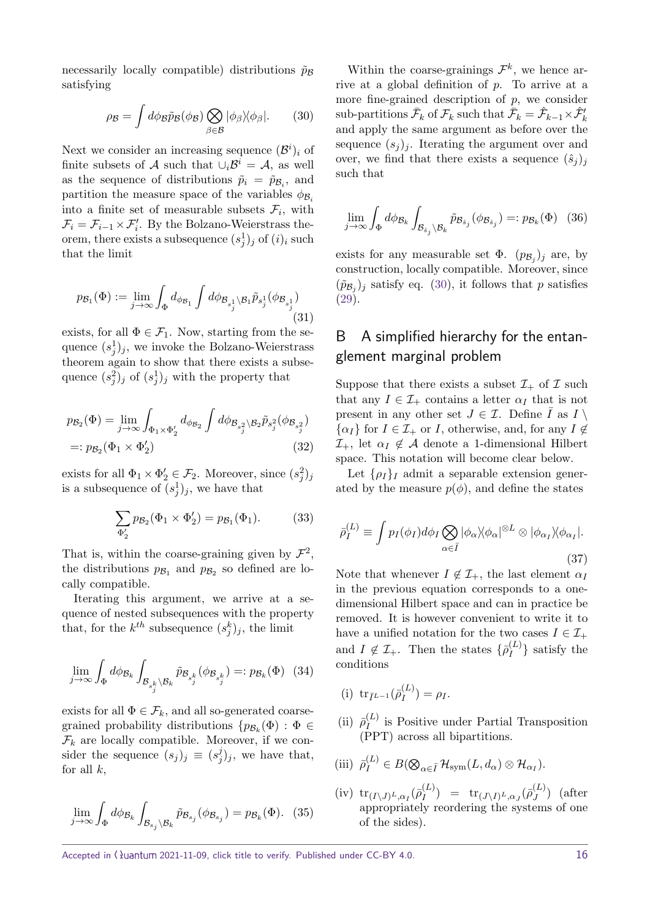<span id="page-15-1"></span>necessarily locally compatible) distributions  $\tilde{p}_B$ satisfying

$$
\rho_{\mathcal{B}} = \int d\phi_{\mathcal{B}} \tilde{p}_{\mathcal{B}}(\phi_{\mathcal{B}}) \bigotimes_{\beta \in \mathcal{B}} |\phi_{\beta}\rangle \langle \phi_{\beta}|. \qquad (30)
$$

Next we consider an increasing sequence  $(\mathcal{B}^i)_i$  of finite subsets of A such that  $\cup_i \mathcal{B}^i = \mathcal{A}$ , as well as the sequence of distributions  $\tilde{p}_i = \tilde{p}_{\mathcal{B}_i}$ , and partition the measure space of the variables  $\phi_{\mathcal{B}_i}$ into a finite set of measurable subsets  $\mathcal{F}_i$ , with  $\mathcal{F}_i = \mathcal{F}_{i-1} \times \mathcal{F}'_i$ . By the Bolzano-Weierstrass theorem, there exists a subsequence  $(s_j^1)_j$  of  $(i)_i$  such that the limit

$$
p_{\mathcal{B}_1}(\Phi) := \lim_{j \to \infty} \int_{\Phi} d_{\phi_{\mathcal{B}_1}} \int d\phi_{\mathcal{B}_{s_j^1}} \langle \mathcal{B}_1 \tilde{p}_{s_j^1} (\phi_{\mathcal{B}_{s_j^1}}) \tag{31}
$$

exists, for all  $\Phi \in \mathcal{F}_1$ . Now, starting from the sequence  $(s_j^1)_j$ , we invoke the Bolzano-Weierstrass theorem again to show that there exists a subsequence  $(s_j^2)_j$  of  $(s_j^1)_j$  with the property that

$$
p_{\mathcal{B}_2}(\Phi) = \lim_{j \to \infty} \int_{\Phi_1 \times \Phi_2'} d_{\phi_{\mathcal{B}_2}} \int d\phi_{\mathcal{B}_{s_j^2} \setminus \mathcal{B}_2} \tilde{p}_{s_j^2}(\phi_{\mathcal{B}_{s_j^2}})
$$
  
=:  $p_{\mathcal{B}_2}(\Phi_1 \times \Phi_2')$  (32)

exists for all  $\Phi_1 \times \Phi_2' \in \mathcal{F}_2$ . Moreover, since  $(s_j^2)_j$ is a subsequence of  $(s_j^1)_j$ , we have that

$$
\sum_{\Phi_2'} p_{\mathcal{B}_2}(\Phi_1 \times \Phi_2') = p_{\mathcal{B}_1}(\Phi_1). \tag{33}
$$

That is, within the coarse-graining given by  $\mathcal{F}^2$ , the distributions  $p_{\mathcal{B}_1}$  and  $p_{\mathcal{B}_2}$  so defined are locally compatible.

Iterating this argument, we arrive at a sequence of nested subsequences with the property that, for the  $k^{th}$  subsequence  $(s_j^k)_j$ , the limit

$$
\lim_{j \to \infty} \int_{\Phi} d\phi_{\mathcal{B}_k} \int_{\mathcal{B}_{s_j^k} \backslash \mathcal{B}_k} \tilde{p}_{\mathcal{B}_{s_j^k}}(\phi_{\mathcal{B}_{s_j^k}}) =: p_{\mathcal{B}_k}(\Phi) \quad (34)
$$

exists for all  $\Phi \in \mathcal{F}_k$ , and all so-generated coarsegrained probability distributions  $\{p_{\mathcal{B}_k}(\Phi) : \Phi \in$  $\mathcal{F}_k$  are locally compatible. Moreover, if we consider the sequence  $(s_j)_j \equiv (s_j^j)_j$  $j_j$ , we have that, for all *k*,

$$
\lim_{j \to \infty} \int_{\Phi} d\phi_{\mathcal{B}_k} \int_{\mathcal{B}_{s_j} \backslash \mathcal{B}_k} \tilde{p}_{\mathcal{B}_{s_j}}(\phi_{\mathcal{B}_{s_j}}) = p_{\mathcal{B}_k}(\Phi). \tag{35}
$$

Within the coarse-grainings  $\mathcal{F}^k$ , we hence arrive at a global definition of *p*. To arrive at a more fine-grained description of *p*, we consider  $\text{sub-partitions } \bar{\mathcal{F}}_k \text{ of } \mathcal{F}_k \text{ such that } \bar{\mathcal{F}}_k = \hat{\mathcal{F}}_{k-1} \times \hat{\mathcal{F}}'_k$ and apply the same argument as before over the sequence  $(s_i)_i$ . Iterating the argument over and over, we find that there exists a sequence  $(\hat{s}_j)_j$ such that

$$
\lim_{j \to \infty} \int_{\Phi} d\phi_{\mathcal{B}_k} \int_{\mathcal{B}_{\hat{s}_j} \setminus \mathcal{B}_k} \tilde{p}_{\mathcal{B}_{\hat{s}_j}}(\phi_{\mathcal{B}_{\hat{s}_j}}) =: p_{\mathcal{B}_k}(\Phi) \quad (36)
$$

exists for any measurable set  $\Phi$ .  $(p_{\mathcal{B}_j})_j$  are, by construction, locally compatible. Moreover, since  $(\tilde{p}_{\mathcal{B}_j})_j$  satisfy eq. [\(30\)](#page-15-1), it follows that *p* satisfies [\(29\)](#page-14-20).

# <span id="page-15-0"></span>B A simplified hierarchy for the entanglement marginal problem

Suppose that there exists a subset  $\mathcal{I}_+$  of  $\mathcal I$  such that any  $I \in \mathcal{I}_+$  contains a letter  $\alpha_I$  that is not present in any other set  $J \in \mathcal{I}$ . Define *I* as  $I \setminus I$  $\{\alpha_I\}$  for  $I \in \mathcal{I}_+$  or *I*, otherwise, and, for any  $I \notin$  $\mathcal{I}_+$ , let  $\alpha_I \notin \mathcal{A}$  denote a 1-dimensional Hilbert space. This notation will become clear below.

Let  $\{\rho_I\}_I$  admit a separable extension generated by the measure  $p(\phi)$ , and define the states

$$
\bar{\rho}_I^{(L)} \equiv \int p_I(\phi_I) d\phi_I \bigotimes_{\alpha \in \bar{I}} |\phi_\alpha\rangle \langle \phi_\alpha|^{\otimes L} \otimes |\phi_{\alpha_I}\rangle \langle \phi_{\alpha_I}|.
$$
\n(37)

Note that whenever  $I \notin \mathcal{I}_+$ , the last element  $\alpha_I$ in the previous equation corresponds to a onedimensional Hilbert space and can in practice be removed. It is however convenient to write it to have a unified notation for the two cases  $I \in \mathcal{I}_+$ and  $I \notin \mathcal{I}_+$ . Then the states  $\{\bar{\rho}_I^{(L)}\}$  $\{Y_I^{(L)}\}$  satisfy the conditions

- (i)  $\text{tr}_{\bar{I}^{L-1}}(\bar{\rho}_I^{(L)})$  $\beta_I^{(L)}$ ) =  $\rho_I$ .
- $(i)$   $\bar{\rho}_I^{(L)}$  $I_I^{(L)}$  is Positive under Partial Transposition (PPT) across all bipartitions.

(iii) 
$$
\bar{\rho}_I^{(L)} \in B(\bigotimes_{\alpha \in \bar{I}} \mathcal{H}_{sym}(L, d_{\alpha}) \otimes \mathcal{H}_{\alpha_I}).
$$

 $(\text{iv}) \text{tr}_{(I\setminus J)L, \alpha_I}(\overline{\rho}_I^{(L)})$  $\mathop{\rm tr}\nolimits^{(L)}_{I}$ ) =  $\mathop{\rm tr}\nolimits_{(J \setminus I)^L, \alpha_J} (\bar{\rho}^{(L)}_J)$  $\binom{L}{J}$  (after appropriately reordering the systems of one of the sides).

Accepted in  $\lambda$ uantum 2021-11-09, click title to verify. Published under CC-BY 4.0. 16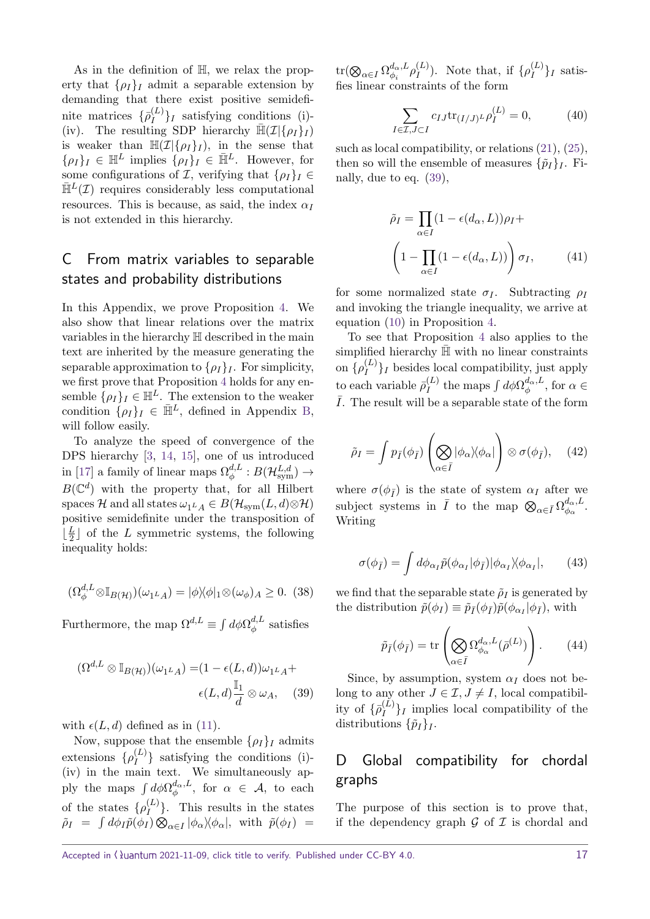As in the definition of H, we relax the property that  $\{\rho_I\}_I$  admit a separable extension by demanding that there exist positive semidefinite matrices  $\{\bar{\rho}_I^{(L)}\}$  $\binom{L}{I}$  satisfying conditions (i)-(iv). The resulting SDP hierarchy  $\bar{\mathbb{H}}(\mathcal{I}|\{\rho_I\}_I)$ is weaker than  $\mathbb{H}(\mathcal{I}|\{\rho_I\}_I)$ , in the sense that  $\{\rho_I\}_I \in \bar{\mathbb{H}}^L$  implies  $\{\rho_I\}_I \in \bar{\mathbb{H}}^L$ . However, for some configurations of  $\mathcal{I}$ , verifying that  $\{\rho_I\}_I \in$  $\bar{\mathbb{H}}^L(\mathcal{I})$  requires considerably less computational resources. This is because, as said, the index  $\alpha_I$ is not extended in this hierarchy.

# <span id="page-16-0"></span>C From matrix variables to separable states and probability distributions

In this Appendix, we prove Proposition [4.](#page-4-0) We also show that linear relations over the matrix variables in the hierarchy H described in the main text are inherited by the measure generating the separable approximation to  $\{\rho_I\}_I$ . For simplicity, we first prove that Proposition [4](#page-4-0) holds for any ensemble  $\{\rho_I\}_I \in \mathbb{H}^L$ . The extension to the weaker condition  $\{\rho_I\}_I \in \bar{\mathbb{H}}^L$ , defined in Appendix [B,](#page-15-0) will follow easily.

To analyze the speed of convergence of the DPS hierarchy [\[3,](#page-13-2) [14,](#page-13-13) [15\]](#page-13-14), one of us introduced in [\[17\]](#page-13-16) a family of linear maps  $\Omega_{\phi}^{d,L}$  $\phi^{d,L} : B(\mathcal{H}^{L,d}_{\mathrm{sym}}) \to$  $B(\mathbb{C}^d)$  with the property that, for all Hilbert spaces H and all states  $\omega_{1^L A} \in B(\mathcal{H}_{sym}(L, d) \otimes \mathcal{H})$ positive semidefinite under the transposition of  $\frac{L}{2}$  $\frac{L}{2}$  of the *L* symmetric systems, the following inequality holds:

$$
(\Omega_{\phi}^{d,L} \otimes \mathbb{I}_{B(\mathcal{H})})(\omega_{1^L A}) = |\phi\rangle\langle\phi|_1 \otimes (\omega_{\phi})_A \ge 0. \tag{38}
$$

Furthermore, the map  $\Omega^{d,L} \equiv \int d\phi \Omega_{\phi}^{d,L}$  $\phi^{a,L}$  satisfies

$$
(\Omega^{d,L} \otimes \mathbb{I}_{B(\mathcal{H})})(\omega_{1^L A}) = (1 - \epsilon(L, d))\omega_{1^L A} + \epsilon(L, d)\frac{\mathbb{I}_1}{d} \otimes \omega_A, \quad (39)
$$

with  $\epsilon(L, d)$  defined as in [\(11\)](#page-4-2).

Now, suppose that the ensemble  $\{\rho_I\}_I$  admits extensions  $\{\rho_I^{(L)}\}$  $\binom{L}{I}$  satisfying the conditions (i)-(iv) in the main text. We simultaneously apply the maps  $\int d\phi \Omega_{\phi}^{d_{\alpha},L}$  $\frac{a_α, L}{φ}$ , for  $α ∈ A$ , to each of the states  $\{\rho_I^{(L)}\}$  $I_I^{(L)}$ . This results in the states  $\tilde{\rho}_I = \int d\phi_I \tilde{p}(\phi_I) \otimes_{\alpha \in I} |\phi_\alpha\rangle\langle\phi_\alpha|, \text{ with } \tilde{p}(\phi_I) =$ 

 $\mathrm{tr}(\bigotimes_{\alpha \in I} \Omega_{\phi_i}^{d_\alpha,L})$  $\frac{d_{\alpha},L}{\phi_i} \rho_I^{(L)}$  $I_I^{(L)}$ ). Note that, if  $\{\rho_I^{(L)}\}$  $\binom{L}{I}$ *I* satisfies linear constraints of the form

$$
\sum_{I \in \mathcal{I}, J \subset I} c_{IJ} \text{tr}_{(I/J)^L} \rho_I^{(L)} = 0,
$$
 (40)

such as local compatibility, or relations [\(21\)](#page-11-1), [\(25\)](#page-11-2), then so will the ensemble of measures  $\{\tilde{p}_I\}_I$ . Finally, due to eq. [\(39\)](#page-16-2),

$$
\tilde{\rho}_I = \prod_{\alpha \in I} (1 - \epsilon(d_\alpha, L)) \rho_I +
$$

$$
\left(1 - \prod_{\alpha \in I} (1 - \epsilon(d_\alpha, L))\right) \sigma_I, \qquad (41)
$$

for some normalized state  $\sigma$ *I*. Subtracting  $\rho$ *I* and invoking the triangle inequality, we arrive at equation [\(10\)](#page-4-1) in Proposition [4.](#page-4-0)

To see that Proposition [4](#page-4-0) also applies to the simplified hierarchy  $H$  with no linear constraints on  $\{\rho_I^{(L)}\}$  $\{I^{(L)}\}_I$  besides local compatibility, just apply to each variable  $\bar{\rho}_I^{(L)}$  $J_I^{(L)}$  the maps  $\int d\phi \Omega_{\phi}^{d_{\alpha},L}$  $\phi^{a<sub>α</sub>, L}$ , for *α* ∈  $\overline{I}$ . The result will be a separable state of the form

$$
\tilde{\rho}_I = \int p_{\bar{I}}(\phi_{\bar{I}}) \left( \bigotimes_{\alpha \in \bar{I}} |\phi_{\alpha}\rangle \langle \phi_{\alpha}| \right) \otimes \sigma(\phi_{\bar{I}}), \quad (42)
$$

where  $\sigma(\phi_{\bar{I}})$  is the state of system  $\alpha_{I}$  after we subject systems in  $\overline{I}$  to the map  $\bigotimes_{\alpha \in \overline{I}} \Omega_{\phi_\alpha}^{d_\alpha,L}$  $\frac{a_{\alpha},L}{\phi_{\alpha}}.$ Writing

$$
\sigma(\phi_{\bar{I}}) = \int d\phi_{\alpha_I} \tilde{p}(\phi_{\alpha_I}|\phi_{\bar{I}})|\phi_{\alpha_I}\rangle\langle\phi_{\alpha_I}|,\qquad(43)
$$

we find that the separable state  $\tilde{\rho}_I$  is generated by the distribution  $\tilde{p}(\phi_I) \equiv \tilde{p}_{\bar{I}}(\phi_{\bar{I}})\tilde{p}(\phi_{\alpha_I}|\phi_{\bar{I}})$ , with

$$
\tilde{p}_{\bar{I}}(\phi_{\bar{I}}) = \text{tr}\left(\bigotimes_{\alpha \in \bar{I}} \Omega_{\phi_{\alpha}}^{d_{\alpha},L}(\bar{\rho}^{(L)})\right). \qquad (44)
$$

<span id="page-16-2"></span>Since, by assumption, system  $\alpha_I$  does not belong to any other  $J \in \mathcal{I}, J \neq I$ , local compatibility of  $\{\bar{\rho}_I^{(L)}\}$  $\{I^{(L)}\}_I$  implies local compatibility of the distributions  $\{\tilde{p}_I\}_I$ .

# <span id="page-16-1"></span>D Global compatibility for chordal graphs

The purpose of this section is to prove that, if the dependency graph  $\mathcal G$  of  $\mathcal I$  is chordal and